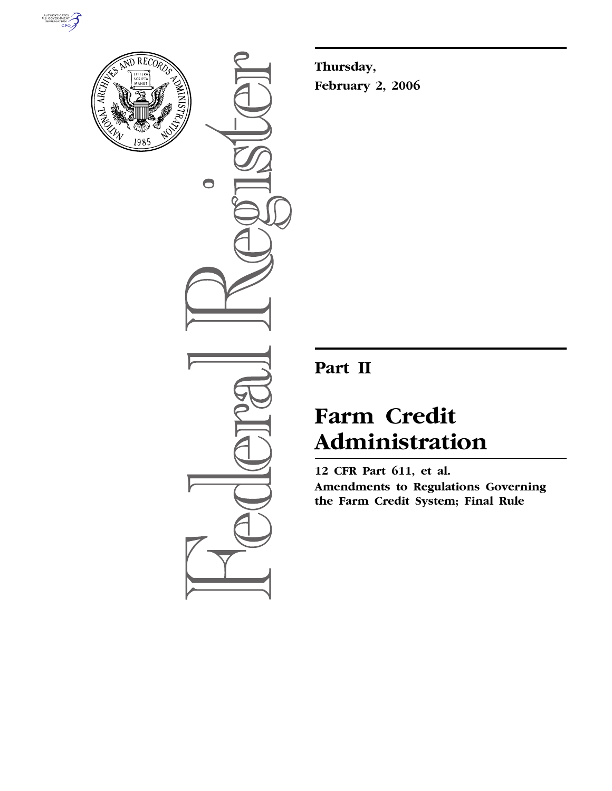



 $\bullet$ 

**Thursday, February 2, 2006** 

## **Part II**

# **Farm Credit Administration**

**12 CFR Part 611, et al. Amendments to Regulations Governing the Farm Credit System; Final Rule**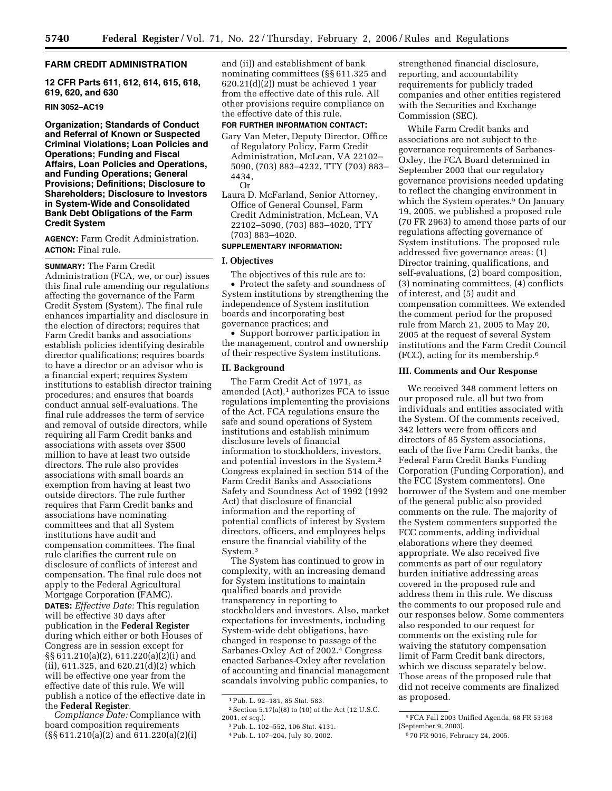## **FARM CREDIT ADMINISTRATION**

**12 CFR Parts 611, 612, 614, 615, 618, 619, 620, and 630** 

#### **RIN 3052–AC19**

**Organization; Standards of Conduct and Referral of Known or Suspected Criminal Violations; Loan Policies and Operations; Funding and Fiscal Affairs, Loan Policies and Operations, and Funding Operations; General Provisions; Definitions; Disclosure to Shareholders; Disclosure to Investors in System-Wide and Consolidated Bank Debt Obligations of the Farm Credit System** 

**AGENCY:** Farm Credit Administration. **ACTION:** Final rule.

**SUMMARY:** The Farm Credit Administration (FCA, we, or our) issues this final rule amending our regulations affecting the governance of the Farm Credit System (System). The final rule enhances impartiality and disclosure in the election of directors; requires that Farm Credit banks and associations establish policies identifying desirable director qualifications; requires boards to have a director or an advisor who is a financial expert; requires System institutions to establish director training procedures; and ensures that boards conduct annual self-evaluations. The final rule addresses the term of service and removal of outside directors, while requiring all Farm Credit banks and associations with assets over \$500 million to have at least two outside directors. The rule also provides associations with small boards an exemption from having at least two outside directors. The rule further requires that Farm Credit banks and associations have nominating committees and that all System institutions have audit and compensation committees. The final rule clarifies the current rule on disclosure of conflicts of interest and compensation. The final rule does not apply to the Federal Agricultural Mortgage Corporation (FAMC). **DATES:** *Effective Date:* This regulation will be effective 30 days after publication in the **Federal Register**  during which either or both Houses of Congress are in session except for §§ 611.210(a)(2), 611.220(a)(2)(i) and (ii), 611.325, and 620.21(d)(2) which will be effective one year from the effective date of this rule. We will publish a notice of the effective date in the **Federal Register**.

*Compliance Date:* Compliance with board composition requirements (§§ 611.210(a)(2) and 611.220(a)(2)(i)

and (ii)) and establishment of bank nominating committees (§§ 611.325 and  $620.21(d)(2)$  must be achieved 1 year from the effective date of this rule. All other provisions require compliance on the effective date of this rule.

#### **FOR FURTHER INFORMATION CONTACT:**

- Gary Van Meter, Deputy Director, Office of Regulatory Policy, Farm Credit Administration, McLean, VA 22102– 5090, (703) 883–4232, TTY (703) 883– 4434, Or
- Laura D. McFarland, Senior Attorney, Office of General Counsel, Farm Credit Administration, McLean, VA 22102–5090, (703) 883–4020, TTY (703) 883–4020.

#### **SUPPLEMENTARY INFORMATION:**

## **I. Objectives**

The objectives of this rule are to: • Protect the safety and soundness of System institutions by strengthening the independence of System institution boards and incorporating best governance practices; and

• Support borrower participation in the management, control and ownership of their respective System institutions.

## **II. Background**

The Farm Credit Act of 1971, as amended  $(Act),<sup>1</sup>$  authorizes FCA to issue regulations implementing the provisions of the Act. FCA regulations ensure the safe and sound operations of System institutions and establish minimum disclosure levels of financial information to stockholders, investors, and potential investors in the System.2 Congress explained in section 514 of the Farm Credit Banks and Associations Safety and Soundness Act of 1992 (1992 Act) that disclosure of financial information and the reporting of potential conflicts of interest by System directors, officers, and employees helps ensure the financial viability of the System.3

The System has continued to grow in complexity, with an increasing demand for System institutions to maintain qualified boards and provide transparency in reporting to stockholders and investors. Also, market expectations for investments, including System-wide debt obligations, have changed in response to passage of the Sarbanes-Oxley Act of 2002.4 Congress enacted Sarbanes-Oxley after revelation of accounting and financial management scandals involving public companies, to

strengthened financial disclosure, reporting, and accountability requirements for publicly traded companies and other entities registered with the Securities and Exchange Commission (SEC).

While Farm Credit banks and associations are not subject to the governance requirements of Sarbanes-Oxley, the FCA Board determined in September 2003 that our regulatory governance provisions needed updating to reflect the changing environment in which the System operates.<sup>5</sup> On January 19, 2005, we published a proposed rule (70 FR 2963) to amend those parts of our regulations affecting governance of System institutions. The proposed rule addressed five governance areas: (1) Director training, qualifications, and self-evaluations, (2) board composition, (3) nominating committees, (4) conflicts of interest, and (5) audit and compensation committees. We extended the comment period for the proposed rule from March 21, 2005 to May 20, 2005 at the request of several System institutions and the Farm Credit Council (FCC), acting for its membership.6

## **III. Comments and Our Response**

We received 348 comment letters on our proposed rule, all but two from individuals and entities associated with the System. Of the comments received, 342 letters were from officers and directors of 85 System associations, each of the five Farm Credit banks, the Federal Farm Credit Banks Funding Corporation (Funding Corporation), and the FCC (System commenters). One borrower of the System and one member of the general public also provided comments on the rule. The majority of the System commenters supported the FCC comments, adding individual elaborations where they deemed appropriate. We also received five comments as part of our regulatory burden initiative addressing areas covered in the proposed rule and address them in this rule. We discuss the comments to our proposed rule and our responses below. Some commenters also responded to our request for comments on the existing rule for waiving the statutory compensation limit of Farm Credit bank directors, which we discuss separately below. Those areas of the proposed rule that did not receive comments are finalized as proposed.

<sup>1</sup>Pub. L. 92–181, 85 Stat. 583.

 $^2$  Section 5.17(a)(8) to (10) of the Act (12 U.S.C. 2001, *et seq.*).

<sup>3</sup>Pub. L. 102–552, 106 Stat. 4131.

<sup>4</sup>Pub. L. 107–204, July 30, 2002.

<sup>5</sup>FCA Fall 2003 Unified Agenda, 68 FR 53168 (September 9, 2003).

<sup>6</sup> 70 FR 9016, February 24, 2005.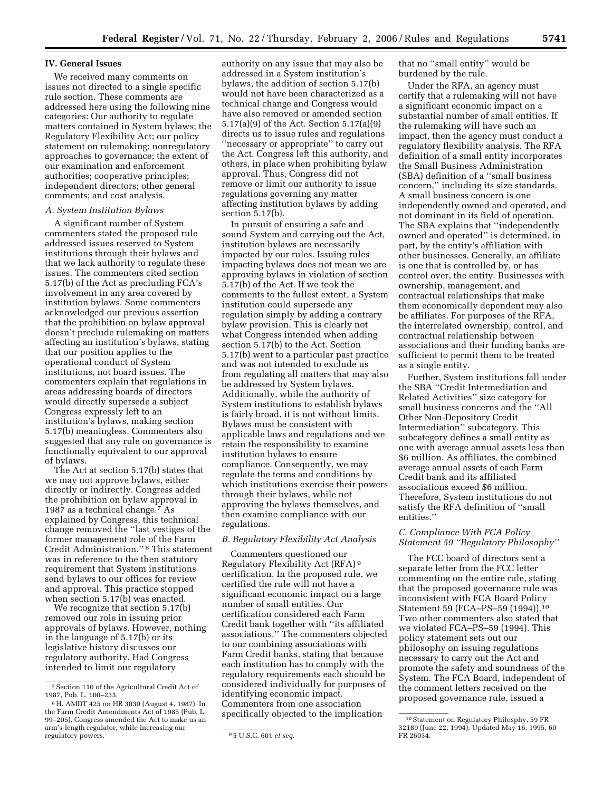#### **IV. General Issues**

We received many comments on issues not directed to a single specific rule section. These comments are addressed here using the following nine categories: Our authority to regulate matters contained in System bylaws; the Regulatory Flexibility Act; our policy statement on rulemaking; nonregulatory approaches to governance; the extent of our examination and enforcement authorities; cooperative principles; independent directors; other general comments; and cost analysis.

## *A. System Institution Bylaws*

A significant number of System commenters stated the proposed rule addressed issues reserved to System institutions through their bylaws and that we lack authority to regulate these issues. The commenters cited section 5.17(b) of the Act as precluding FCA's involvement in any area covered by institution bylaws. Some commenters acknowledged our previous assertion that the prohibition on bylaw approval doesn't preclude rulemaking on matters affecting an institution's bylaws, stating that our position applies to the operational conduct of System institutions, not board issues. The commenters explain that regulations in areas addressing boards of directors would directly supersede a subject Congress expressly left to an institution's bylaws, making section 5.17(b) meaningless. Commenters also suggested that any rule on governance is functionally equivalent to our approval of bylaws.

The Act at section 5.17(b) states that we may not approve bylaws, either directly or indirectly. Congress added the prohibition on bylaw approval in 1987 as a technical change.7 As explained by Congress, this technical change removed the ''last vestiges of the former management role of the Farm Credit Administration.'' 8 This statement was in reference to the then statutory requirement that System institutions send bylaws to our offices for review and approval. This practice stopped when section 5.17(b) was enacted.

We recognize that section 5.17(b) removed our role in issuing prior approvals of bylaws. However, nothing in the language of 5.17(b) or its legislative history discusses our regulatory authority. Had Congress intended to limit our regulatory

authority on any issue that may also be addressed in a System institution's bylaws, the addition of section 5.17(b) would not have been characterized as a technical change and Congress would have also removed or amended section 5.17(a)(9) of the Act. Section 5.17(a)(9) directs us to issue rules and regulations ''necessary or appropriate'' to carry out the Act. Congress left this authority, and others, in place when prohibiting bylaw approval. Thus, Congress did not remove or limit our authority to issue regulations governing any matter affecting institution bylaws by adding section 5.17(b).

In pursuit of ensuring a safe and sound System and carrying out the Act, institution bylaws are necessarily impacted by our rules. Issuing rules impacting bylaws does not mean we are approving bylaws in violation of section 5.17(b) of the Act. If we took the comments to the fullest extent, a System institution could supersede any regulation simply by adding a contrary bylaw provision. This is clearly not what Congress intended when adding section 5.17(b) to the Act. Section 5.17(b) went to a particular past practice and was not intended to exclude us from regulating all matters that may also be addressed by System bylaws. Additionally, while the authority of System institutions to establish bylaws is fairly broad, it is not without limits. Bylaws must be consistent with applicable laws and regulations and we retain the responsibility to examine institution bylaws to ensure compliance. Consequently, we may regulate the terms and conditions by which institutions exercise their powers through their bylaws, while not approving the bylaws themselves, and then examine compliance with our regulations.

#### *B. Regulatory Flexibility Act Analysis*

Commenters questioned our Regulatory Flexibility Act (RFA) 9 certification. In the proposed rule, we certified the rule will not have a significant economic impact on a large number of small entities. Our certification considered each Farm Credit bank together with ''its affiliated associations.'' The commenters objected to our combining associations with Farm Credit banks, stating that because each institution has to comply with the regulatory requirements each should be considered individually for purposes of identifying economic impact. Commenters from one association specifically objected to the implication

that no ''small entity'' would be burdened by the rule.

Under the RFA, an agency must certify that a rulemaking will not have a significant economic impact on a substantial number of small entities. If the rulemaking will have such an impact, then the agency must conduct a regulatory flexibility analysis. The RFA definition of a small entity incorporates the Small Business Administration (SBA) definition of a ''small business concern,'' including its size standards. A small business concern is one independently owned and operated, and not dominant in its field of operation. The SBA explains that ''independently owned and operated'' is determined, in part, by the entity's affiliation with other businesses. Generally, an affiliate is one that is controlled by, or has control over, the entity. Businesses with ownership, management, and contractual relationships that make them economically dependent may also be affiliates. For purposes of the RFA, the interrelated ownership, control, and contractual relationship between associations and their funding banks are sufficient to permit them to be treated as a single entity.

Further, System institutions fall under the SBA ''Credit Intermediation and Related Activities'' size category for small business concerns and the ''All Other Non-Depository Credit Intermediation'' subcategory. This subcategory defines a small entity as one with average annual assets less than \$6 million. As affiliates, the combined average annual assets of each Farm Credit bank and its affiliated associations exceed \$6 million. Therefore, System institutions do not satisfy the RFA definition of ''small entities.''

## *C. Compliance With FCA Policy Statement 59 ''Regulatory Philosophy''*

The FCC board of directors sent a separate letter from the FCC letter commenting on the entire rule, stating that the proposed governance rule was inconsistent with FCA Board Policy Statement 59 (FCA–PS–59 (1994)).10 Two other commenters also stated that we violated FCA–PS–59 (1994). This policy statement sets out our philosophy on issuing regulations necessary to carry out the Act and promote the safety and soundness of the System. The FCA Board, independent of the comment letters received on the proposed governance rule, issued a

<sup>7</sup>Section 110 of the Agricultural Credit Act of 1987, Pub. L. 100–233.

<sup>8</sup>H. AMDT 425 on HR 3030 (August 4, 1987). In the Farm Credit Amendments Act of 1985 (Pub. L. 99–205), Congress amended the Act to make us an arm's-length regulator, while increasing our

<sup>&</sup>lt;sup>9</sup> 5 U.S.C. 601 *et seq.* 

<sup>&</sup>lt;sup>10</sup> Statement on Regulatory Philosphy, 59 FR 32189 (June 22, 1994). Updated May 16, 1995, 60 FR 26034.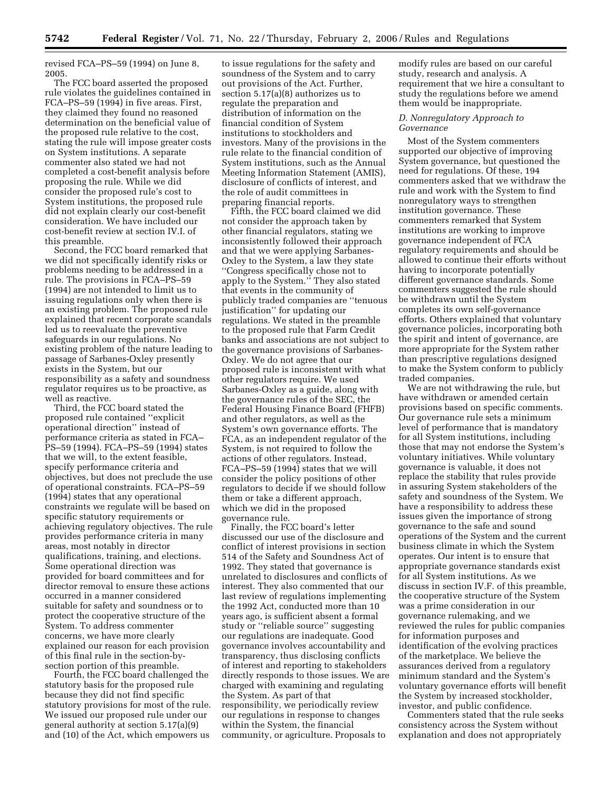revised FCA–PS–59 (1994) on June 8, 2005.

The FCC board asserted the proposed rule violates the guidelines contained in FCA–PS–59 (1994) in five areas. First, they claimed they found no reasoned determination on the beneficial value of the proposed rule relative to the cost, stating the rule will impose greater costs on System institutions. A separate commenter also stated we had not completed a cost-benefit analysis before proposing the rule. While we did consider the proposed rule's cost to System institutions, the proposed rule did not explain clearly our cost-benefit consideration. We have included our cost-benefit review at section IV.I. of this preamble.

Second, the FCC board remarked that we did not specifically identify risks or problems needing to be addressed in a rule. The provisions in FCA–PS–59 (1994) are not intended to limit us to issuing regulations only when there is an existing problem. The proposed rule explained that recent corporate scandals led us to reevaluate the preventive safeguards in our regulations. No existing problem of the nature leading to passage of Sarbanes-Oxley presently exists in the System, but our responsibility as a safety and soundness regulator requires us to be proactive, as well as reactive.

Third, the FCC board stated the proposed rule contained ''explicit operational direction'' instead of performance criteria as stated in FCA– PS–59 (1994). FCA–PS–59 (1994) states that we will, to the extent feasible, specify performance criteria and objectives, but does not preclude the use of operational constraints. FCA–PS–59 (1994) states that any operational constraints we regulate will be based on specific statutory requirements or achieving regulatory objectives. The rule provides performance criteria in many areas, most notably in director qualifications, training, and elections. Some operational direction was provided for board committees and for director removal to ensure these actions occurred in a manner considered suitable for safety and soundness or to protect the cooperative structure of the System. To address commenter concerns, we have more clearly explained our reason for each provision of this final rule in the section-bysection portion of this preamble.

Fourth, the FCC board challenged the statutory basis for the proposed rule because they did not find specific statutory provisions for most of the rule. We issued our proposed rule under our general authority at section 5.17(a)(9) and (10) of the Act, which empowers us

to issue regulations for the safety and soundness of the System and to carry out provisions of the Act. Further, section 5.17(a)(8) authorizes us to regulate the preparation and distribution of information on the financial condition of System institutions to stockholders and investors. Many of the provisions in the rule relate to the financial condition of System institutions, such as the Annual Meeting Information Statement (AMIS), disclosure of conflicts of interest, and the role of audit committees in preparing financial reports.

Fifth, the FCC board claimed we did not consider the approach taken by other financial regulators, stating we inconsistently followed their approach and that we were applying Sarbanes-Oxley to the System, a law they state ''Congress specifically chose not to apply to the System.'' They also stated that events in the community of publicly traded companies are ''tenuous justification'' for updating our regulations. We stated in the preamble to the proposed rule that Farm Credit banks and associations are not subject to the governance provisions of Sarbanes-Oxley. We do not agree that our proposed rule is inconsistent with what other regulators require. We used Sarbanes-Oxley as a guide, along with the governance rules of the SEC, the Federal Housing Finance Board (FHFB) and other regulators, as well as the System's own governance efforts. The FCA, as an independent regulator of the System, is not required to follow the actions of other regulators. Instead, FCA–PS–59 (1994) states that we will consider the policy positions of other regulators to decide if we should follow them or take a different approach, which we did in the proposed governance rule.

Finally, the FCC board's letter discussed our use of the disclosure and conflict of interest provisions in section 514 of the Safety and Soundness Act of 1992. They stated that governance is unrelated to disclosures and conflicts of interest. They also commented that our last review of regulations implementing the 1992 Act, conducted more than 10 years ago, is sufficient absent a formal study or ''reliable source'' suggesting our regulations are inadequate. Good governance involves accountability and transparency, thus disclosing conflicts of interest and reporting to stakeholders directly responds to those issues. We are charged with examining and regulating the System. As part of that responsibility, we periodically review our regulations in response to changes within the System, the financial community, or agriculture. Proposals to

modify rules are based on our careful study, research and analysis. A requirement that we hire a consultant to study the regulations before we amend them would be inappropriate.

#### *D. Nonregulatory Approach to Governance*

Most of the System commenters supported our objective of improving System governance, but questioned the need for regulations. Of these, 194 commenters asked that we withdraw the rule and work with the System to find nonregulatory ways to strengthen institution governance. These commenters remarked that System institutions are working to improve governance independent of FCA regulatory requirements and should be allowed to continue their efforts without having to incorporate potentially different governance standards. Some commenters suggested the rule should be withdrawn until the System completes its own self-governance efforts. Others explained that voluntary governance policies, incorporating both the spirit and intent of governance, are more appropriate for the System rather than prescriptive regulations designed to make the System conform to publicly traded companies.

We are not withdrawing the rule, but have withdrawn or amended certain provisions based on specific comments. Our governance rule sets a minimum level of performance that is mandatory for all System institutions, including those that may not endorse the System's voluntary initiatives. While voluntary governance is valuable, it does not replace the stability that rules provide in assuring System stakeholders of the safety and soundness of the System. We have a responsibility to address these issues given the importance of strong governance to the safe and sound operations of the System and the current business climate in which the System operates. Our intent is to ensure that appropriate governance standards exist for all System institutions. As we discuss in section IV.F. of this preamble, the cooperative structure of the System was a prime consideration in our governance rulemaking, and we reviewed the rules for public companies for information purposes and identification of the evolving practices of the marketplace. We believe the assurances derived from a regulatory minimum standard and the System's voluntary governance efforts will benefit the System by increased stockholder, investor, and public confidence.

Commenters stated that the rule seeks consistency across the System without explanation and does not appropriately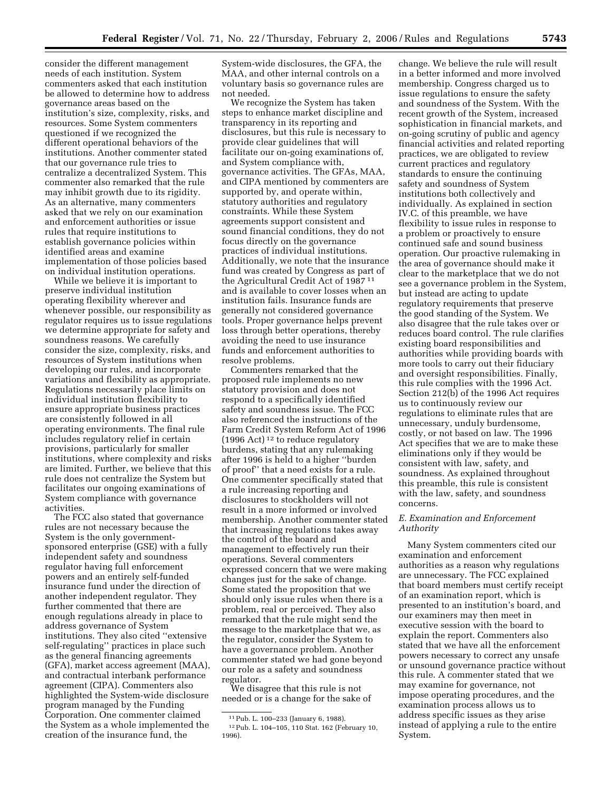consider the different management needs of each institution. System commenters asked that each institution be allowed to determine how to address governance areas based on the institution's size, complexity, risks, and resources. Some System commenters questioned if we recognized the different operational behaviors of the institutions. Another commenter stated that our governance rule tries to centralize a decentralized System. This commenter also remarked that the rule may inhibit growth due to its rigidity. As an alternative, many commenters asked that we rely on our examination and enforcement authorities or issue rules that require institutions to establish governance policies within identified areas and examine implementation of those policies based on individual institution operations.

While we believe it is important to preserve individual institution operating flexibility wherever and whenever possible, our responsibility as regulator requires us to issue regulations we determine appropriate for safety and soundness reasons. We carefully consider the size, complexity, risks, and resources of System institutions when developing our rules, and incorporate variations and flexibility as appropriate. Regulations necessarily place limits on individual institution flexibility to ensure appropriate business practices are consistently followed in all operating environments. The final rule includes regulatory relief in certain provisions, particularly for smaller institutions, where complexity and risks are limited. Further, we believe that this rule does not centralize the System but facilitates our ongoing examinations of System compliance with governance activities.

The FCC also stated that governance rules are not necessary because the System is the only governmentsponsored enterprise (GSE) with a fully independent safety and soundness regulator having full enforcement powers and an entirely self-funded insurance fund under the direction of another independent regulator. They further commented that there are enough regulations already in place to address governance of System institutions. They also cited ''extensive self-regulating'' practices in place such as the general financing agreements (GFA), market access agreement (MAA), and contractual interbank performance agreement (CIPA). Commenters also highlighted the System-wide disclosure program managed by the Funding Corporation. One commenter claimed the System as a whole implemented the creation of the insurance fund, the

System-wide disclosures, the GFA, the MAA, and other internal controls on a voluntary basis so governance rules are not needed.

We recognize the System has taken steps to enhance market discipline and transparency in its reporting and disclosures, but this rule is necessary to provide clear guidelines that will facilitate our on-going examinations of, and System compliance with, governance activities. The GFAs, MAA, and CIPA mentioned by commenters are supported by, and operate within, statutory authorities and regulatory constraints. While these System agreements support consistent and sound financial conditions, they do not focus directly on the governance practices of individual institutions. Additionally, we note that the insurance fund was created by Congress as part of the Agricultural Credit Act of 1987 11 and is available to cover losses when an institution fails. Insurance funds are generally not considered governance tools. Proper governance helps prevent loss through better operations, thereby avoiding the need to use insurance funds and enforcement authorities to resolve problems.

Commenters remarked that the proposed rule implements no new statutory provision and does not respond to a specifically identified safety and soundness issue. The FCC also referenced the instructions of the Farm Credit System Reform Act of 1996 (1996 Act) 12 to reduce regulatory burdens, stating that any rulemaking after 1996 is held to a higher ''burden of proof'' that a need exists for a rule. One commenter specifically stated that a rule increasing reporting and disclosures to stockholders will not result in a more informed or involved membership. Another commenter stated that increasing regulations takes away the control of the board and management to effectively run their operations. Several commenters expressed concern that we were making changes just for the sake of change. Some stated the proposition that we should only issue rules when there is a problem, real or perceived. They also remarked that the rule might send the message to the marketplace that we, as the regulator, consider the System to have a governance problem. Another commenter stated we had gone beyond our role as a safety and soundness regulator.

We disagree that this rule is not needed or is a change for the sake of

change. We believe the rule will result in a better informed and more involved membership. Congress charged us to issue regulations to ensure the safety and soundness of the System. With the recent growth of the System, increased sophistication in financial markets, and on-going scrutiny of public and agency financial activities and related reporting practices, we are obligated to review current practices and regulatory standards to ensure the continuing safety and soundness of System institutions both collectively and individually. As explained in section IV.C. of this preamble, we have flexibility to issue rules in response to a problem or proactively to ensure continued safe and sound business operation. Our proactive rulemaking in the area of governance should make it clear to the marketplace that we do not see a governance problem in the System, but instead are acting to update regulatory requirements that preserve the good standing of the System. We also disagree that the rule takes over or reduces board control. The rule clarifies existing board responsibilities and authorities while providing boards with more tools to carry out their fiduciary and oversight responsibilities. Finally, this rule complies with the 1996 Act. Section 212(b) of the 1996 Act requires us to continuously review our regulations to eliminate rules that are unnecessary, unduly burdensome, costly, or not based on law. The 1996 Act specifies that we are to make these eliminations only if they would be consistent with law, safety, and soundness. As explained throughout this preamble, this rule is consistent with the law, safety, and soundness concerns.

## *E. Examination and Enforcement Authority*

Many System commenters cited our examination and enforcement authorities as a reason why regulations are unnecessary. The FCC explained that board members must certify receipt of an examination report, which is presented to an institution's board, and our examiners may then meet in executive session with the board to explain the report. Commenters also stated that we have all the enforcement powers necessary to correct any unsafe or unsound governance practice without this rule. A commenter stated that we may examine for governance, not impose operating procedures, and the examination process allows us to address specific issues as they arise instead of applying a rule to the entire System.

<sup>11</sup>Pub. L. 100–233 (January 6, 1988). 12Pub. L. 104–105, 110 Stat. 162 (February 10, 1996).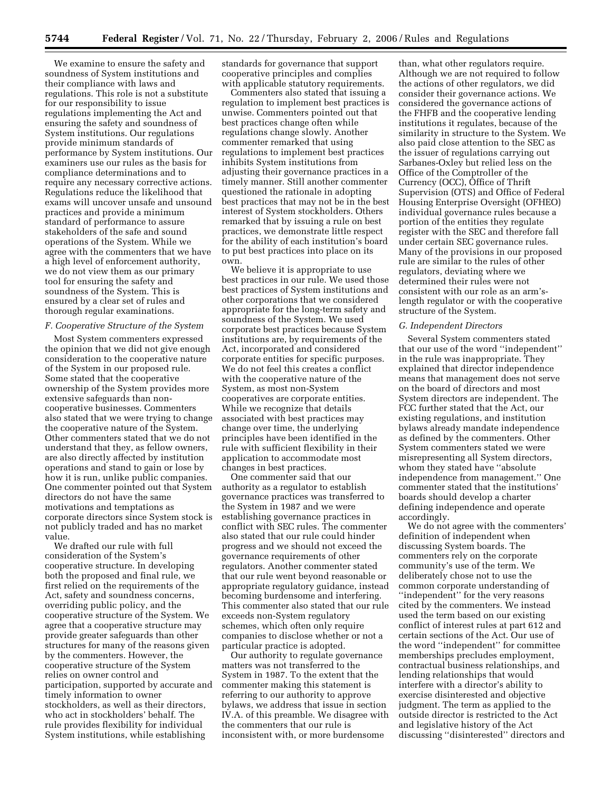We examine to ensure the safety and soundness of System institutions and their compliance with laws and regulations. This role is not a substitute for our responsibility to issue regulations implementing the Act and ensuring the safety and soundness of System institutions. Our regulations provide minimum standards of performance by System institutions. Our examiners use our rules as the basis for compliance determinations and to require any necessary corrective actions. Regulations reduce the likelihood that exams will uncover unsafe and unsound practices and provide a minimum standard of performance to assure stakeholders of the safe and sound operations of the System. While we agree with the commenters that we have a high level of enforcement authority, we do not view them as our primary tool for ensuring the safety and soundness of the System. This is ensured by a clear set of rules and thorough regular examinations.

#### *F. Cooperative Structure of the System*

Most System commenters expressed the opinion that we did not give enough consideration to the cooperative nature of the System in our proposed rule. Some stated that the cooperative ownership of the System provides more extensive safeguards than noncooperative businesses. Commenters also stated that we were trying to change the cooperative nature of the System. Other commenters stated that we do not understand that they, as fellow owners, are also directly affected by institution operations and stand to gain or lose by how it is run, unlike public companies. One commenter pointed out that System directors do not have the same motivations and temptations as corporate directors since System stock is not publicly traded and has no market value.

We drafted our rule with full consideration of the System's cooperative structure. In developing both the proposed and final rule, we first relied on the requirements of the Act, safety and soundness concerns, overriding public policy, and the cooperative structure of the System. We agree that a cooperative structure may provide greater safeguards than other structures for many of the reasons given by the commenters. However, the cooperative structure of the System relies on owner control and participation, supported by accurate and timely information to owner stockholders, as well as their directors, who act in stockholders' behalf. The rule provides flexibility for individual System institutions, while establishing

standards for governance that support cooperative principles and complies with applicable statutory requirements.

Commenters also stated that issuing a regulation to implement best practices is unwise. Commenters pointed out that best practices change often while regulations change slowly. Another commenter remarked that using regulations to implement best practices inhibits System institutions from adjusting their governance practices in a timely manner. Still another commenter questioned the rationale in adopting best practices that may not be in the best interest of System stockholders. Others remarked that by issuing a rule on best practices, we demonstrate little respect for the ability of each institution's board to put best practices into place on its own.

We believe it is appropriate to use best practices in our rule. We used those best practices of System institutions and other corporations that we considered appropriate for the long-term safety and soundness of the System. We used corporate best practices because System institutions are, by requirements of the Act, incorporated and considered corporate entities for specific purposes. We do not feel this creates a conflict with the cooperative nature of the System, as most non-System cooperatives are corporate entities. While we recognize that details associated with best practices may change over time, the underlying principles have been identified in the rule with sufficient flexibility in their application to accommodate most changes in best practices.

One commenter said that our authority as a regulator to establish governance practices was transferred to the System in 1987 and we were establishing governance practices in conflict with SEC rules. The commenter also stated that our rule could hinder progress and we should not exceed the governance requirements of other regulators. Another commenter stated that our rule went beyond reasonable or appropriate regulatory guidance, instead becoming burdensome and interfering. This commenter also stated that our rule exceeds non-System regulatory schemes, which often only require companies to disclose whether or not a particular practice is adopted.

Our authority to regulate governance matters was not transferred to the System in 1987. To the extent that the commenter making this statement is referring to our authority to approve bylaws, we address that issue in section IV.A. of this preamble. We disagree with the commenters that our rule is inconsistent with, or more burdensome

than, what other regulators require. Although we are not required to follow the actions of other regulators, we did consider their governance actions. We considered the governance actions of the FHFB and the cooperative lending institutions it regulates, because of the similarity in structure to the System. We also paid close attention to the SEC as the issuer of regulations carrying out Sarbanes-Oxley but relied less on the Office of the Comptroller of the Currency (OCC), Office of Thrift Supervision (OTS) and Office of Federal Housing Enterprise Oversight (OFHEO) individual governance rules because a portion of the entities they regulate register with the SEC and therefore fall under certain SEC governance rules. Many of the provisions in our proposed rule are similar to the rules of other regulators, deviating where we determined their rules were not consistent with our role as an arm'slength regulator or with the cooperative structure of the System.

#### *G. Independent Directors*

Several System commenters stated that our use of the word ''independent'' in the rule was inappropriate. They explained that director independence means that management does not serve on the board of directors and most System directors are independent. The FCC further stated that the Act, our existing regulations, and institution bylaws already mandate independence as defined by the commenters. Other System commenters stated we were misrepresenting all System directors, whom they stated have ''absolute independence from management.'' One commenter stated that the institutions' boards should develop a charter defining independence and operate accordingly.

We do not agree with the commenters' definition of independent when discussing System boards. The commenters rely on the corporate community's use of the term. We deliberately chose not to use the common corporate understanding of ''independent'' for the very reasons cited by the commenters. We instead used the term based on our existing conflict of interest rules at part 612 and certain sections of the Act. Our use of the word ''independent'' for committee memberships precludes employment, contractual business relationships, and lending relationships that would interfere with a director's ability to exercise disinterested and objective judgment. The term as applied to the outside director is restricted to the Act and legislative history of the Act discussing ''disinterested'' directors and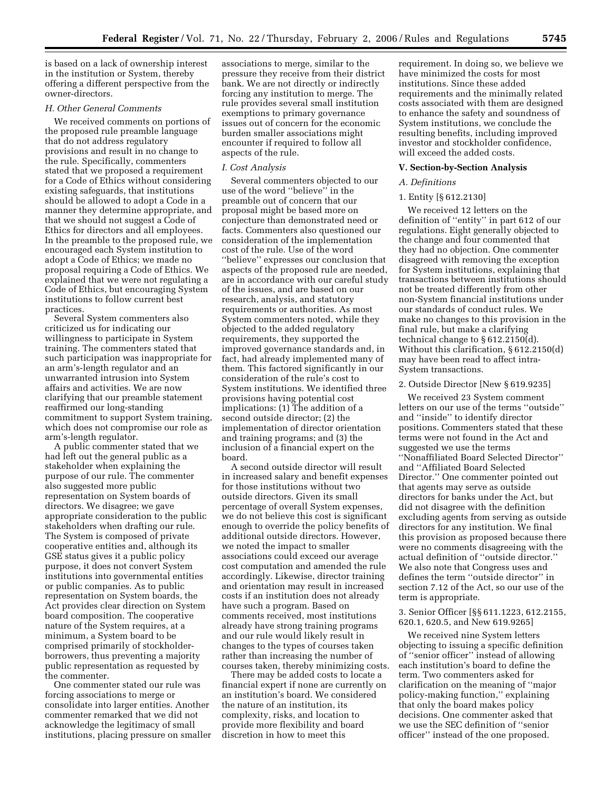is based on a lack of ownership interest in the institution or System, thereby offering a different perspective from the owner-directors.

## *H. Other General Comments*

We received comments on portions of the proposed rule preamble language that do not address regulatory provisions and result in no change to the rule. Specifically, commenters stated that we proposed a requirement for a Code of Ethics without considering existing safeguards, that institutions should be allowed to adopt a Code in a manner they determine appropriate, and that we should not suggest a Code of Ethics for directors and all employees. In the preamble to the proposed rule, we encouraged each System institution to adopt a Code of Ethics; we made no proposal requiring a Code of Ethics. We explained that we were not regulating a Code of Ethics, but encouraging System institutions to follow current best practices.

Several System commenters also criticized us for indicating our willingness to participate in System training. The commenters stated that such participation was inappropriate for an arm's-length regulator and an unwarranted intrusion into System affairs and activities. We are now clarifying that our preamble statement reaffirmed our long-standing commitment to support System training, which does not compromise our role as arm's-length regulator.

A public commenter stated that we had left out the general public as a stakeholder when explaining the purpose of our rule. The commenter also suggested more public representation on System boards of directors. We disagree; we gave appropriate consideration to the public stakeholders when drafting our rule. The System is composed of private cooperative entities and, although its GSE status gives it a public policy purpose, it does not convert System institutions into governmental entities or public companies. As to public representation on System boards, the Act provides clear direction on System board composition. The cooperative nature of the System requires, at a minimum, a System board to be comprised primarily of stockholderborrowers, thus preventing a majority public representation as requested by the commenter.

One commenter stated our rule was forcing associations to merge or consolidate into larger entities. Another commenter remarked that we did not acknowledge the legitimacy of small institutions, placing pressure on smaller

associations to merge, similar to the pressure they receive from their district bank. We are not directly or indirectly forcing any institution to merge. The rule provides several small institution exemptions to primary governance issues out of concern for the economic burden smaller associations might encounter if required to follow all aspects of the rule.

#### *I. Cost Analysis*

Several commenters objected to our use of the word ''believe'' in the preamble out of concern that our proposal might be based more on conjecture than demonstrated need or facts. Commenters also questioned our consideration of the implementation cost of the rule. Use of the word ''believe'' expresses our conclusion that aspects of the proposed rule are needed, are in accordance with our careful study of the issues, and are based on our research, analysis, and statutory requirements or authorities. As most System commenters noted, while they objected to the added regulatory requirements, they supported the improved governance standards and, in fact, had already implemented many of them. This factored significantly in our consideration of the rule's cost to System institutions. We identified three provisions having potential cost implications: (1) The addition of a second outside director; (2) the implementation of director orientation and training programs; and (3) the inclusion of a financial expert on the board.

A second outside director will result in increased salary and benefit expenses for those institutions without two outside directors. Given its small percentage of overall System expenses, we do not believe this cost is significant enough to override the policy benefits of additional outside directors. However, we noted the impact to smaller associations could exceed our average cost computation and amended the rule accordingly. Likewise, director training and orientation may result in increased costs if an institution does not already have such a program. Based on comments received, most institutions already have strong training programs and our rule would likely result in changes to the types of courses taken rather than increasing the number of courses taken, thereby minimizing costs.

There may be added costs to locate a financial expert if none are currently on an institution's board. We considered the nature of an institution, its complexity, risks, and location to provide more flexibility and board discretion in how to meet this

requirement. In doing so, we believe we have minimized the costs for most institutions. Since these added requirements and the minimally related costs associated with them are designed to enhance the safety and soundness of System institutions, we conclude the resulting benefits, including improved investor and stockholder confidence, will exceed the added costs.

#### **V. Section-by-Section Analysis**

#### *A. Definitions*

#### 1. Entity [§ 612.2130]

We received 12 letters on the definition of ''entity'' in part 612 of our regulations. Eight generally objected to the change and four commented that they had no objection. One commenter disagreed with removing the exception for System institutions, explaining that transactions between institutions should not be treated differently from other non-System financial institutions under our standards of conduct rules. We make no changes to this provision in the final rule, but make a clarifying technical change to § 612.2150(d). Without this clarification, § 612.2150(d) may have been read to affect intra-System transactions.

#### 2. Outside Director [New § 619.9235]

We received 23 System comment letters on our use of the terms ''outside'' and ''inside'' to identify director positions. Commenters stated that these terms were not found in the Act and suggested we use the terms ''Nonaffiliated Board Selected Director'' and ''Affiliated Board Selected Director.'' One commenter pointed out that agents may serve as outside directors for banks under the Act, but did not disagree with the definition excluding agents from serving as outside directors for any institution. We final this provision as proposed because there were no comments disagreeing with the actual definition of ''outside director.'' We also note that Congress uses and defines the term ''outside director'' in section 7.12 of the Act, so our use of the term is appropriate.

3. Senior Officer [§§ 611.1223, 612.2155, 620.1, 620.5, and New 619.9265]

We received nine System letters objecting to issuing a specific definition of ''senior officer'' instead of allowing each institution's board to define the term. Two commenters asked for clarification on the meaning of ''major policy-making function,'' explaining that only the board makes policy decisions. One commenter asked that we use the SEC definition of ''senior officer'' instead of the one proposed.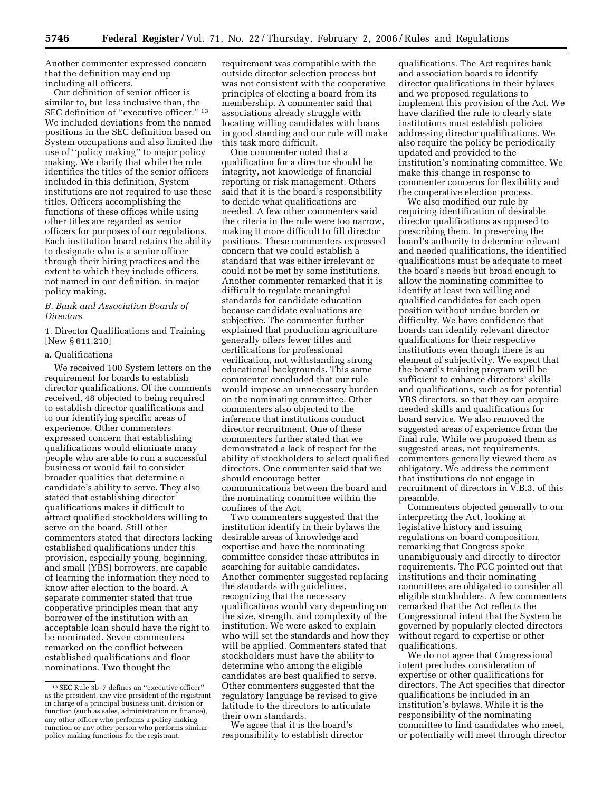Another commenter expressed concern that the definition may end up including all officers.

Our definition of senior officer is similar to, but less inclusive than, the SEC definition of "executive officer."<sup>13</sup> We included deviations from the named positions in the SEC definition based on System occupations and also limited the use of ''policy making'' to major policy making. We clarify that while the rule identifies the titles of the senior officers included in this definition, System institutions are not required to use these titles. Officers accomplishing the functions of these offices while using other titles are regarded as senior officers for purposes of our regulations. Each institution board retains the ability to designate who is a senior officer through their hiring practices and the extent to which they include officers, not named in our definition, in major policy making.

## *B. Bank and Association Boards of Directors*

1. Director Qualifications and Training [New § 611.210]

## a. Qualifications

We received 100 System letters on the requirement for boards to establish director qualifications. Of the comments received, 48 objected to being required to establish director qualifications and to our identifying specific areas of experience. Other commenters expressed concern that establishing qualifications would eliminate many people who are able to run a successful business or would fail to consider broader qualities that determine a candidate's ability to serve. They also stated that establishing director qualifications makes it difficult to attract qualified stockholders willing to serve on the board. Still other commenters stated that directors lacking established qualifications under this provision, especially young, beginning, and small (YBS) borrowers, are capable of learning the information they need to know after election to the board. A separate commenter stated that true cooperative principles mean that any borrower of the institution with an acceptable loan should have the right to be nominated. Seven commenters remarked on the conflict between established qualifications and floor nominations. Two thought the

requirement was compatible with the outside director selection process but was not consistent with the cooperative principles of electing a board from its membership. A commenter said that associations already struggle with locating willing candidates with loans in good standing and our rule will make this task more difficult.

One commenter noted that a qualification for a director should be integrity, not knowledge of financial reporting or risk management. Others said that it is the board's responsibility to decide what qualifications are needed. A few other commenters said the criteria in the rule were too narrow, making it more difficult to fill director positions. These commenters expressed concern that we could establish a standard that was either irrelevant or could not be met by some institutions. Another commenter remarked that it is difficult to regulate meaningful standards for candidate education because candidate evaluations are subjective. The commenter further explained that production agriculture generally offers fewer titles and certifications for professional verification, not withstanding strong educational backgrounds. This same commenter concluded that our rule would impose an unnecessary burden on the nominating committee. Other commenters also objected to the inference that institutions conduct director recruitment. One of these commenters further stated that we demonstrated a lack of respect for the ability of stockholders to select qualified directors. One commenter said that we should encourage better communications between the board and the nominating committee within the confines of the Act.

Two commenters suggested that the institution identify in their bylaws the desirable areas of knowledge and expertise and have the nominating committee consider these attributes in searching for suitable candidates. Another commenter suggested replacing the standards with guidelines, recognizing that the necessary qualifications would vary depending on the size, strength, and complexity of the institution. We were asked to explain who will set the standards and how they will be applied. Commenters stated that stockholders must have the ability to determine who among the eligible candidates are best qualified to serve. Other commenters suggested that the regulatory language be revised to give latitude to the directors to articulate their own standards.

We agree that it is the board's responsibility to establish director

qualifications. The Act requires bank and association boards to identify director qualifications in their bylaws and we proposed regulations to implement this provision of the Act. We have clarified the rule to clearly state institutions must establish policies addressing director qualifications. We also require the policy be periodically updated and provided to the institution's nominating committee. We make this change in response to commenter concerns for flexibility and the cooperative election process.

We also modified our rule by requiring identification of desirable director qualifications as opposed to prescribing them. In preserving the board's authority to determine relevant and needed qualifications, the identified qualifications must be adequate to meet the board's needs but broad enough to allow the nominating committee to identify at least two willing and qualified candidates for each open position without undue burden or difficulty. We have confidence that boards can identify relevant director qualifications for their respective institutions even though there is an element of subjectivity. We expect that the board's training program will be sufficient to enhance directors' skills and qualifications, such as for potential YBS directors, so that they can acquire needed skills and qualifications for board service. We also removed the suggested areas of experience from the final rule. While we proposed them as suggested areas, not requirements, commenters generally viewed them as obligatory. We address the comment that institutions do not engage in recruitment of directors in V.B.3. of this preamble.

Commenters objected generally to our interpreting the Act, looking at legislative history and issuing regulations on board composition, remarking that Congress spoke unambiguously and directly to director requirements. The FCC pointed out that institutions and their nominating committees are obligated to consider all eligible stockholders. A few commenters remarked that the Act reflects the Congressional intent that the System be governed by popularly elected directors without regard to expertise or other qualifications.

We do not agree that Congressional intent precludes consideration of expertise or other qualifications for directors. The Act specifies that director qualifications be included in an institution's bylaws. While it is the responsibility of the nominating committee to find candidates who meet, or potentially will meet through director

<sup>13</sup>SEC Rule 3b–7 defines an ''executive officer'' as the president, any vice president of the registrant in charge of a principal business unit, division or function (such as sales, administration or finance), any other officer who performs a policy making function or any other person who performs similar policy making functions for the registrant.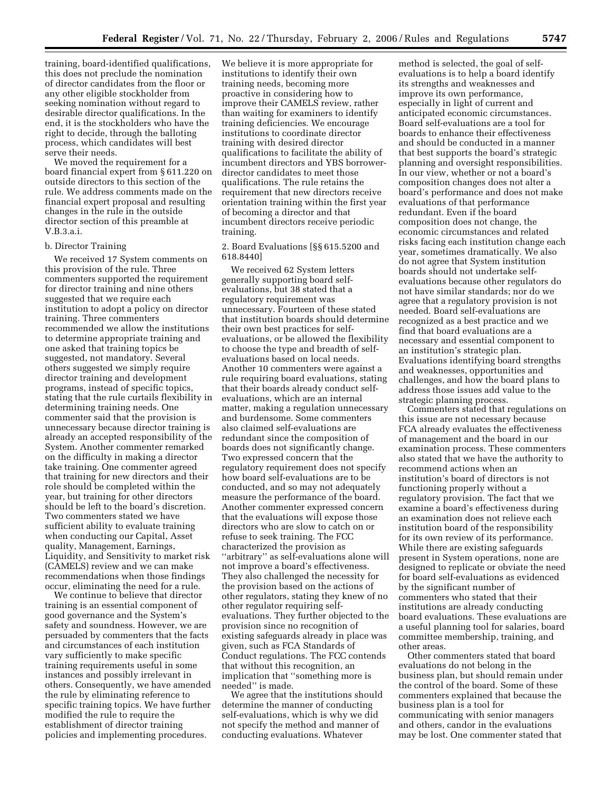training, board-identified qualifications, this does not preclude the nomination of director candidates from the floor or any other eligible stockholder from seeking nomination without regard to desirable director qualifications. In the end, it is the stockholders who have the right to decide, through the balloting process, which candidates will best serve their needs.

We moved the requirement for a board financial expert from § 611.220 on outside directors to this section of the rule. We address comments made on the financial expert proposal and resulting changes in the rule in the outside director section of this preamble at V.B.3.a.i.

#### b. Director Training

We received 17 System comments on this provision of the rule. Three commenters supported the requirement for director training and nine others suggested that we require each institution to adopt a policy on director training. Three commenters recommended we allow the institutions to determine appropriate training and one asked that training topics be suggested, not mandatory. Several others suggested we simply require director training and development programs, instead of specific topics, stating that the rule curtails flexibility in determining training needs. One commenter said that the provision is unnecessary because director training is already an accepted responsibility of the System. Another commenter remarked on the difficulty in making a director take training. One commenter agreed that training for new directors and their role should be completed within the year, but training for other directors should be left to the board's discretion. Two commenters stated we have sufficient ability to evaluate training when conducting our Capital, Asset quality, Management, Earnings, Liquidity, and Sensitivity to market risk (CAMELS) review and we can make recommendations when those findings occur, eliminating the need for a rule.

We continue to believe that director training is an essential component of good governance and the System's safety and soundness. However, we are persuaded by commenters that the facts and circumstances of each institution vary sufficiently to make specific training requirements useful in some instances and possibly irrelevant in others. Consequently, we have amended the rule by eliminating reference to specific training topics. We have further modified the rule to require the establishment of director training policies and implementing procedures.

We believe it is more appropriate for institutions to identify their own training needs, becoming more proactive in considering how to improve their CAMELS review, rather than waiting for examiners to identify training deficiencies. We encourage institutions to coordinate director training with desired director qualifications to facilitate the ability of incumbent directors and YBS borrowerdirector candidates to meet those qualifications. The rule retains the requirement that new directors receive orientation training within the first year of becoming a director and that incumbent directors receive periodic training.

2. Board Evaluations [§§ 615.5200 and 618.8440]

We received 62 System letters generally supporting board selfevaluations, but 38 stated that a regulatory requirement was unnecessary. Fourteen of these stated that institution boards should determine their own best practices for selfevaluations, or be allowed the flexibility to choose the type and breadth of selfevaluations based on local needs. Another 10 commenters were against a rule requiring board evaluations, stating that their boards already conduct selfevaluations, which are an internal matter, making a regulation unnecessary and burdensome. Some commenters also claimed self-evaluations are redundant since the composition of boards does not significantly change. Two expressed concern that the regulatory requirement does not specify how board self-evaluations are to be conducted, and so may not adequately measure the performance of the board. Another commenter expressed concern that the evaluations will expose those directors who are slow to catch on or refuse to seek training. The FCC characterized the provision as ''arbitrary'' as self-evaluations alone will not improve a board's effectiveness. They also challenged the necessity for the provision based on the actions of other regulators, stating they knew of no other regulator requiring selfevaluations. They further objected to the provision since no recognition of existing safeguards already in place was given, such as FCA Standards of Conduct regulations. The FCC contends that without this recognition, an implication that ''something more is needed'' is made.

We agree that the institutions should determine the manner of conducting self-evaluations, which is why we did not specify the method and manner of conducting evaluations. Whatever

method is selected, the goal of selfevaluations is to help a board identify its strengths and weaknesses and improve its own performance, especially in light of current and anticipated economic circumstances. Board self-evaluations are a tool for boards to enhance their effectiveness and should be conducted in a manner that best supports the board's strategic planning and oversight responsibilities. In our view, whether or not a board's composition changes does not alter a board's performance and does not make evaluations of that performance redundant. Even if the board composition does not change, the economic circumstances and related risks facing each institution change each year, sometimes dramatically. We also do not agree that System institution boards should not undertake selfevaluations because other regulators do not have similar standards; nor do we agree that a regulatory provision is not needed. Board self-evaluations are recognized as a best practice and we find that board evaluations are a necessary and essential component to an institution's strategic plan. Evaluations identifying board strengths and weaknesses, opportunities and challenges, and how the board plans to address those issues add value to the strategic planning process.

Commenters stated that regulations on this issue are not necessary because FCA already evaluates the effectiveness of management and the board in our examination process. These commenters also stated that we have the authority to recommend actions when an institution's board of directors is not functioning properly without a regulatory provision. The fact that we examine a board's effectiveness during an examination does not relieve each institution board of the responsibility for its own review of its performance. While there are existing safeguards present in System operations, none are designed to replicate or obviate the need for board self-evaluations as evidenced by the significant number of commenters who stated that their institutions are already conducting board evaluations. These evaluations are a useful planning tool for salaries, board committee membership, training, and other areas.

Other commenters stated that board evaluations do not belong in the business plan, but should remain under the control of the board. Some of these commenters explained that because the business plan is a tool for communicating with senior managers and others, candor in the evaluations may be lost. One commenter stated that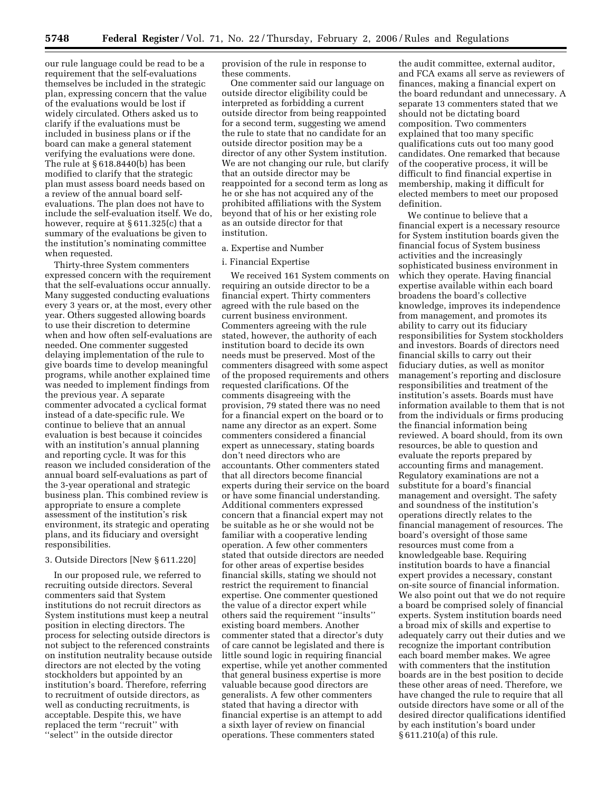our rule language could be read to be a requirement that the self-evaluations themselves be included in the strategic plan, expressing concern that the value of the evaluations would be lost if widely circulated. Others asked us to clarify if the evaluations must be included in business plans or if the board can make a general statement verifying the evaluations were done. The rule at § 618.8440(b) has been modified to clarify that the strategic plan must assess board needs based on a review of the annual board selfevaluations. The plan does not have to include the self-evaluation itself. We do, however, require at § 611.325(c) that a summary of the evaluations be given to the institution's nominating committee when requested.

Thirty-three System commenters expressed concern with the requirement that the self-evaluations occur annually. Many suggested conducting evaluations every 3 years or, at the most, every other year. Others suggested allowing boards to use their discretion to determine when and how often self-evaluations are needed. One commenter suggested delaying implementation of the rule to give boards time to develop meaningful programs, while another explained time was needed to implement findings from the previous year. A separate commenter advocated a cyclical format instead of a date-specific rule. We continue to believe that an annual evaluation is best because it coincides with an institution's annual planning and reporting cycle. It was for this reason we included consideration of the annual board self-evaluations as part of the 3-year operational and strategic business plan. This combined review is appropriate to ensure a complete assessment of the institution's risk environment, its strategic and operating plans, and its fiduciary and oversight responsibilities.

## 3. Outside Directors [New § 611.220]

In our proposed rule, we referred to recruiting outside directors. Several commenters said that System institutions do not recruit directors as System institutions must keep a neutral position in electing directors. The process for selecting outside directors is not subject to the referenced constraints on institution neutrality because outside directors are not elected by the voting stockholders but appointed by an institution's board. Therefore, referring to recruitment of outside directors, as well as conducting recruitments, is acceptable. Despite this, we have replaced the term ''recruit'' with ''select'' in the outside director

provision of the rule in response to these comments.

One commenter said our language on outside director eligibility could be interpreted as forbidding a current outside director from being reappointed for a second term, suggesting we amend the rule to state that no candidate for an outside director position may be a director of any other System institution. We are not changing our rule, but clarify that an outside director may be reappointed for a second term as long as he or she has not acquired any of the prohibited affiliations with the System beyond that of his or her existing role as an outside director for that institution.

#### a. Expertise and Number

## i. Financial Expertise

We received 161 System comments on requiring an outside director to be a financial expert. Thirty commenters agreed with the rule based on the current business environment. Commenters agreeing with the rule stated, however, the authority of each institution board to decide its own needs must be preserved. Most of the commenters disagreed with some aspect of the proposed requirements and others requested clarifications. Of the comments disagreeing with the provision, 79 stated there was no need for a financial expert on the board or to name any director as an expert. Some commenters considered a financial expert as unnecessary, stating boards don't need directors who are accountants. Other commenters stated that all directors become financial experts during their service on the board or have some financial understanding. Additional commenters expressed concern that a financial expert may not be suitable as he or she would not be familiar with a cooperative lending operation. A few other commenters stated that outside directors are needed for other areas of expertise besides financial skills, stating we should not restrict the requirement to financial expertise. One commenter questioned the value of a director expert while others said the requirement ''insults'' existing board members. Another commenter stated that a director's duty of care cannot be legislated and there is little sound logic in requiring financial expertise, while yet another commented that general business expertise is more valuable because good directors are generalists. A few other commenters stated that having a director with financial expertise is an attempt to add a sixth layer of review on financial operations. These commenters stated

the audit committee, external auditor, and FCA exams all serve as reviewers of finances, making a financial expert on the board redundant and unnecessary. A separate 13 commenters stated that we should not be dictating board composition. Two commenters explained that too many specific qualifications cuts out too many good candidates. One remarked that because of the cooperative process, it will be difficult to find financial expertise in membership, making it difficult for elected members to meet our proposed definition.

We continue to believe that a financial expert is a necessary resource for System institution boards given the financial focus of System business activities and the increasingly sophisticated business environment in which they operate. Having financial expertise available within each board broadens the board's collective knowledge, improves its independence from management, and promotes its ability to carry out its fiduciary responsibilities for System stockholders and investors. Boards of directors need financial skills to carry out their fiduciary duties, as well as monitor management's reporting and disclosure responsibilities and treatment of the institution's assets. Boards must have information available to them that is not from the individuals or firms producing the financial information being reviewed. A board should, from its own resources, be able to question and evaluate the reports prepared by accounting firms and management. Regulatory examinations are not a substitute for a board's financial management and oversight. The safety and soundness of the institution's operations directly relates to the financial management of resources. The board's oversight of those same resources must come from a knowledgeable base. Requiring institution boards to have a financial expert provides a necessary, constant on-site source of financial information. We also point out that we do not require a board be comprised solely of financial experts. System institution boards need a broad mix of skills and expertise to adequately carry out their duties and we recognize the important contribution each board member makes. We agree with commenters that the institution boards are in the best position to decide these other areas of need. Therefore, we have changed the rule to require that all outside directors have some or all of the desired director qualifications identified by each institution's board under § 611.210(a) of this rule.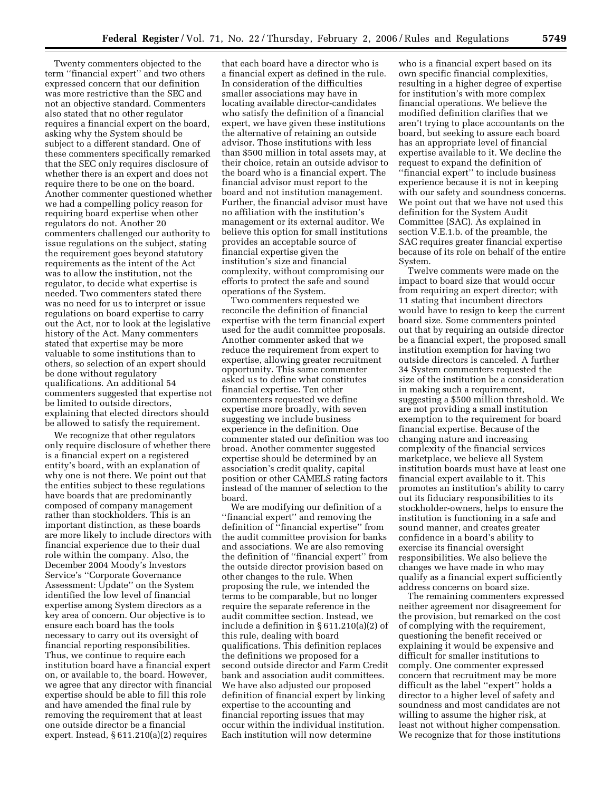Twenty commenters objected to the term ''financial expert'' and two others expressed concern that our definition was more restrictive than the SEC and not an objective standard. Commenters also stated that no other regulator requires a financial expert on the board, asking why the System should be subject to a different standard. One of these commenters specifically remarked that the SEC only requires disclosure of whether there is an expert and does not require there to be one on the board. Another commenter questioned whether we had a compelling policy reason for requiring board expertise when other regulators do not. Another 20 commenters challenged our authority to issue regulations on the subject, stating the requirement goes beyond statutory requirements as the intent of the Act was to allow the institution, not the regulator, to decide what expertise is needed. Two commenters stated there was no need for us to interpret or issue regulations on board expertise to carry out the Act, nor to look at the legislative history of the Act. Many commenters stated that expertise may be more valuable to some institutions than to others, so selection of an expert should be done without regulatory qualifications. An additional 54 commenters suggested that expertise not be limited to outside directors, explaining that elected directors should be allowed to satisfy the requirement.

We recognize that other regulators only require disclosure of whether there is a financial expert on a registered entity's board, with an explanation of why one is not there. We point out that the entities subject to these regulations have boards that are predominantly composed of company management rather than stockholders. This is an important distinction, as these boards are more likely to include directors with financial experience due to their dual role within the company. Also, the December 2004 Moody's Investors Service's ''Corporate Governance Assessment: Update'' on the System identified the low level of financial expertise among System directors as a key area of concern. Our objective is to ensure each board has the tools necessary to carry out its oversight of financial reporting responsibilities. Thus, we continue to require each institution board have a financial expert on, or available to, the board. However, we agree that any director with financial expertise should be able to fill this role and have amended the final rule by removing the requirement that at least one outside director be a financial expert. Instead, § 611.210(a)(2) requires

that each board have a director who is a financial expert as defined in the rule. In consideration of the difficulties smaller associations may have in locating available director-candidates who satisfy the definition of a financial expert, we have given these institutions the alternative of retaining an outside advisor. Those institutions with less than \$500 million in total assets may, at their choice, retain an outside advisor to the board who is a financial expert. The financial advisor must report to the board and not institution management. Further, the financial advisor must have no affiliation with the institution's management or its external auditor. We believe this option for small institutions provides an acceptable source of financial expertise given the institution's size and financial complexity, without compromising our efforts to protect the safe and sound operations of the System.

Two commenters requested we reconcile the definition of financial expertise with the term financial expert used for the audit committee proposals. Another commenter asked that we reduce the requirement from expert to expertise, allowing greater recruitment opportunity. This same commenter asked us to define what constitutes financial expertise. Ten other commenters requested we define expertise more broadly, with seven suggesting we include business experience in the definition. One commenter stated our definition was too broad. Another commenter suggested expertise should be determined by an association's credit quality, capital position or other CAMELS rating factors instead of the manner of selection to the board.

We are modifying our definition of a ''financial expert'' and removing the definition of ''financial expertise'' from the audit committee provision for banks and associations. We are also removing the definition of ''financial expert'' from the outside director provision based on other changes to the rule. When proposing the rule, we intended the terms to be comparable, but no longer require the separate reference in the audit committee section. Instead, we include a definition in § 611.210(a)(2) of this rule, dealing with board qualifications. This definition replaces the definitions we proposed for a second outside director and Farm Credit bank and association audit committees. We have also adjusted our proposed definition of financial expert by linking expertise to the accounting and financial reporting issues that may occur within the individual institution. Each institution will now determine

who is a financial expert based on its own specific financial complexities, resulting in a higher degree of expertise for institution's with more complex financial operations. We believe the modified definition clarifies that we aren't trying to place accountants on the board, but seeking to assure each board has an appropriate level of financial expertise available to it. We decline the request to expand the definition of ''financial expert'' to include business experience because it is not in keeping with our safety and soundness concerns. We point out that we have not used this definition for the System Audit Committee (SAC). As explained in section V.E.1.b. of the preamble, the SAC requires greater financial expertise because of its role on behalf of the entire System.

Twelve comments were made on the impact to board size that would occur from requiring an expert director; with 11 stating that incumbent directors would have to resign to keep the current board size. Some commenters pointed out that by requiring an outside director be a financial expert, the proposed small institution exemption for having two outside directors is canceled. A further 34 System commenters requested the size of the institution be a consideration in making such a requirement, suggesting a \$500 million threshold. We are not providing a small institution exemption to the requirement for board financial expertise. Because of the changing nature and increasing complexity of the financial services marketplace, we believe all System institution boards must have at least one financial expert available to it. This promotes an institution's ability to carry out its fiduciary responsibilities to its stockholder-owners, helps to ensure the institution is functioning in a safe and sound manner, and creates greater confidence in a board's ability to exercise its financial oversight responsibilities. We also believe the changes we have made in who may qualify as a financial expert sufficiently address concerns on board size.

The remaining commenters expressed neither agreement nor disagreement for the provision, but remarked on the cost of complying with the requirement, questioning the benefit received or explaining it would be expensive and difficult for smaller institutions to comply. One commenter expressed concern that recruitment may be more difficult as the label ''expert'' holds a director to a higher level of safety and soundness and most candidates are not willing to assume the higher risk, at least not without higher compensation. We recognize that for those institutions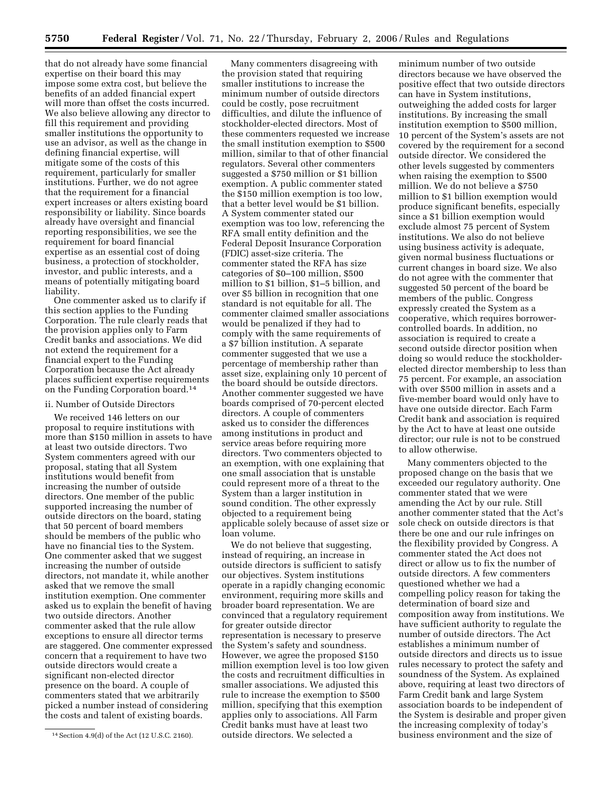that do not already have some financial expertise on their board this may impose some extra cost, but believe the benefits of an added financial expert will more than offset the costs incurred. We also believe allowing any director to fill this requirement and providing smaller institutions the opportunity to use an advisor, as well as the change in defining financial expertise, will mitigate some of the costs of this requirement, particularly for smaller institutions. Further, we do not agree that the requirement for a financial expert increases or alters existing board responsibility or liability. Since boards already have oversight and financial reporting responsibilities, we see the requirement for board financial expertise as an essential cost of doing business, a protection of stockholder, investor, and public interests, and a means of potentially mitigating board liability.

One commenter asked us to clarify if this section applies to the Funding Corporation. The rule clearly reads that the provision applies only to Farm Credit banks and associations. We did not extend the requirement for a financial expert to the Funding Corporation because the Act already places sufficient expertise requirements on the Funding Corporation board.14

#### ii. Number of Outside Directors

We received 146 letters on our proposal to require institutions with more than \$150 million in assets to have at least two outside directors. Two System commenters agreed with our proposal, stating that all System institutions would benefit from increasing the number of outside directors. One member of the public supported increasing the number of outside directors on the board, stating that 50 percent of board members should be members of the public who have no financial ties to the System. One commenter asked that we suggest increasing the number of outside directors, not mandate it, while another asked that we remove the small institution exemption. One commenter asked us to explain the benefit of having two outside directors. Another commenter asked that the rule allow exceptions to ensure all director terms are staggered. One commenter expressed concern that a requirement to have two outside directors would create a significant non-elected director presence on the board. A couple of commenters stated that we arbitrarily picked a number instead of considering the costs and talent of existing boards.

Many commenters disagreeing with the provision stated that requiring smaller institutions to increase the minimum number of outside directors could be costly, pose recruitment difficulties, and dilute the influence of stockholder-elected directors. Most of these commenters requested we increase the small institution exemption to \$500 million, similar to that of other financial regulators. Several other commenters suggested a \$750 million or \$1 billion exemption. A public commenter stated the \$150 million exemption is too low, that a better level would be \$1 billion. A System commenter stated our exemption was too low, referencing the RFA small entity definition and the Federal Deposit Insurance Corporation (FDIC) asset-size criteria. The commenter stated the RFA has size categories of \$0–100 million, \$500 million to \$1 billion, \$1–5 billion, and over \$5 billion in recognition that one standard is not equitable for all. The commenter claimed smaller associations would be penalized if they had to comply with the same requirements of a \$7 billion institution. A separate commenter suggested that we use a percentage of membership rather than asset size, explaining only 10 percent of the board should be outside directors. Another commenter suggested we have boards comprised of 70-percent elected directors. A couple of commenters asked us to consider the differences among institutions in product and service areas before requiring more directors. Two commenters objected to an exemption, with one explaining that one small association that is unstable could represent more of a threat to the System than a larger institution in sound condition. The other expressly objected to a requirement being applicable solely because of asset size or loan volume.

We do not believe that suggesting, instead of requiring, an increase in outside directors is sufficient to satisfy our objectives. System institutions operate in a rapidly changing economic environment, requiring more skills and broader board representation. We are convinced that a regulatory requirement for greater outside director representation is necessary to preserve the System's safety and soundness. However, we agree the proposed \$150 million exemption level is too low given the costs and recruitment difficulties in smaller associations. We adjusted this rule to increase the exemption to \$500 million, specifying that this exemption applies only to associations. All Farm Credit banks must have at least two outside directors. We selected a

minimum number of two outside directors because we have observed the positive effect that two outside directors can have in System institutions, outweighing the added costs for larger institutions. By increasing the small institution exemption to \$500 million, 10 percent of the System's assets are not covered by the requirement for a second outside director. We considered the other levels suggested by commenters when raising the exemption to \$500 million. We do not believe a \$750 million to \$1 billion exemption would produce significant benefits, especially since a \$1 billion exemption would exclude almost 75 percent of System institutions. We also do not believe using business activity is adequate, given normal business fluctuations or current changes in board size. We also do not agree with the commenter that suggested 50 percent of the board be members of the public. Congress expressly created the System as a cooperative, which requires borrowercontrolled boards. In addition, no association is required to create a second outside director position when doing so would reduce the stockholderelected director membership to less than 75 percent. For example, an association with over \$500 million in assets and a five-member board would only have to have one outside director. Each Farm Credit bank and association is required by the Act to have at least one outside director; our rule is not to be construed to allow otherwise.

Many commenters objected to the proposed change on the basis that we exceeded our regulatory authority. One commenter stated that we were amending the Act by our rule. Still another commenter stated that the Act's sole check on outside directors is that there be one and our rule infringes on the flexibility provided by Congress. A commenter stated the Act does not direct or allow us to fix the number of outside directors. A few commenters questioned whether we had a compelling policy reason for taking the determination of board size and composition away from institutions. We have sufficient authority to regulate the number of outside directors. The Act establishes a minimum number of outside directors and directs us to issue rules necessary to protect the safety and soundness of the System. As explained above, requiring at least two directors of Farm Credit bank and large System association boards to be independent of the System is desirable and proper given the increasing complexity of today's business environment and the size of

<sup>14</sup>Section 4.9(d) of the Act (12 U.S.C. 2160).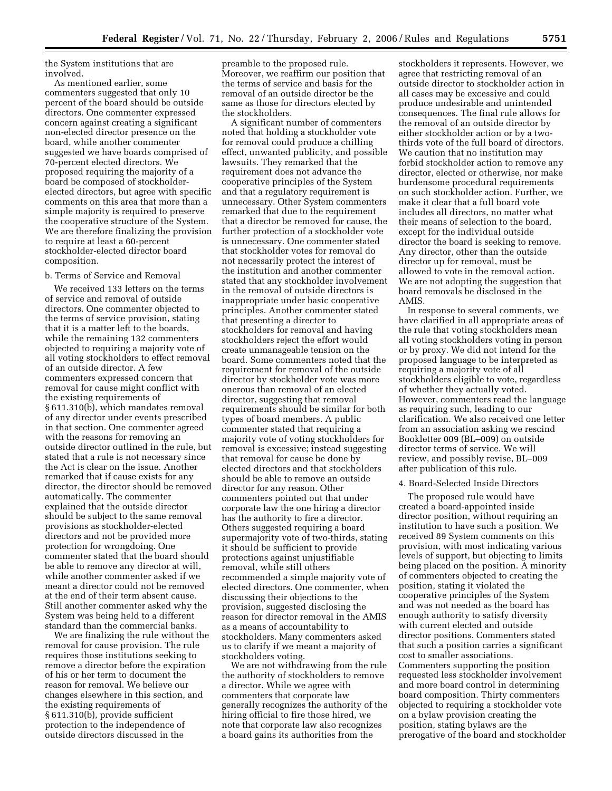the System institutions that are involved.

As mentioned earlier, some commenters suggested that only 10 percent of the board should be outside directors. One commenter expressed concern against creating a significant non-elected director presence on the board, while another commenter suggested we have boards comprised of 70-percent elected directors. We proposed requiring the majority of a board be composed of stockholderelected directors, but agree with specific comments on this area that more than a simple majority is required to preserve the cooperative structure of the System. We are therefore finalizing the provision to require at least a 60-percent stockholder-elected director board composition.

#### b. Terms of Service and Removal

We received 133 letters on the terms of service and removal of outside directors. One commenter objected to the terms of service provision, stating that it is a matter left to the boards, while the remaining 132 commenters objected to requiring a majority vote of all voting stockholders to effect removal of an outside director. A few commenters expressed concern that removal for cause might conflict with the existing requirements of § 611.310(b), which mandates removal of any director under events prescribed in that section. One commenter agreed with the reasons for removing an outside director outlined in the rule, but stated that a rule is not necessary since the Act is clear on the issue. Another remarked that if cause exists for any director, the director should be removed automatically. The commenter explained that the outside director should be subject to the same removal provisions as stockholder-elected directors and not be provided more protection for wrongdoing. One commenter stated that the board should be able to remove any director at will, while another commenter asked if we meant a director could not be removed at the end of their term absent cause. Still another commenter asked why the System was being held to a different standard than the commercial banks.

We are finalizing the rule without the removal for cause provision. The rule requires those institutions seeking to remove a director before the expiration of his or her term to document the reason for removal. We believe our changes elsewhere in this section, and the existing requirements of § 611.310(b), provide sufficient protection to the independence of outside directors discussed in the

preamble to the proposed rule. Moreover, we reaffirm our position that the terms of service and basis for the removal of an outside director be the same as those for directors elected by the stockholders.

A significant number of commenters noted that holding a stockholder vote for removal could produce a chilling effect, unwanted publicity, and possible lawsuits. They remarked that the requirement does not advance the cooperative principles of the System and that a regulatory requirement is unnecessary. Other System commenters remarked that due to the requirement that a director be removed for cause, the further protection of a stockholder vote is unnecessary. One commenter stated that stockholder votes for removal do not necessarily protect the interest of the institution and another commenter stated that any stockholder involvement in the removal of outside directors is inappropriate under basic cooperative principles. Another commenter stated that presenting a director to stockholders for removal and having stockholders reject the effort would create unmanageable tension on the board. Some commenters noted that the requirement for removal of the outside director by stockholder vote was more onerous than removal of an elected director, suggesting that removal requirements should be similar for both types of board members. A public commenter stated that requiring a majority vote of voting stockholders for removal is excessive; instead suggesting that removal for cause be done by elected directors and that stockholders should be able to remove an outside director for any reason. Other commenters pointed out that under corporate law the one hiring a director has the authority to fire a director. Others suggested requiring a board supermajority vote of two-thirds, stating it should be sufficient to provide protections against unjustifiable removal, while still others recommended a simple majority vote of elected directors. One commenter, when discussing their objections to the provision, suggested disclosing the reason for director removal in the AMIS as a means of accountability to stockholders. Many commenters asked us to clarify if we meant a majority of stockholders voting.

We are not withdrawing from the rule the authority of stockholders to remove a director. While we agree with commenters that corporate law generally recognizes the authority of the hiring official to fire those hired, we note that corporate law also recognizes a board gains its authorities from the

stockholders it represents. However, we agree that restricting removal of an outside director to stockholder action in all cases may be excessive and could produce undesirable and unintended consequences. The final rule allows for the removal of an outside director by either stockholder action or by a twothirds vote of the full board of directors. We caution that no institution may forbid stockholder action to remove any director, elected or otherwise, nor make burdensome procedural requirements on such stockholder action. Further, we make it clear that a full board vote includes all directors, no matter what their means of selection to the board, except for the individual outside director the board is seeking to remove. Any director, other than the outside director up for removal, must be allowed to vote in the removal action. We are not adopting the suggestion that board removals be disclosed in the AMIS.

In response to several comments, we have clarified in all appropriate areas of the rule that voting stockholders mean all voting stockholders voting in person or by proxy. We did not intend for the proposed language to be interpreted as requiring a majority vote of all stockholders eligible to vote, regardless of whether they actually voted. However, commenters read the language as requiring such, leading to our clarification. We also received one letter from an association asking we rescind Bookletter 009 (BL–009) on outside director terms of service. We will review, and possibly revise, BL–009 after publication of this rule.

#### 4. Board-Selected Inside Directors

The proposed rule would have created a board-appointed inside director position, without requiring an institution to have such a position. We received 89 System comments on this provision, with most indicating various levels of support, but objecting to limits being placed on the position. A minority of commenters objected to creating the position, stating it violated the cooperative principles of the System and was not needed as the board has enough authority to satisfy diversity with current elected and outside director positions. Commenters stated that such a position carries a significant cost to smaller associations. Commenters supporting the position requested less stockholder involvement and more board control in determining board composition. Thirty commenters objected to requiring a stockholder vote on a bylaw provision creating the position, stating bylaws are the prerogative of the board and stockholder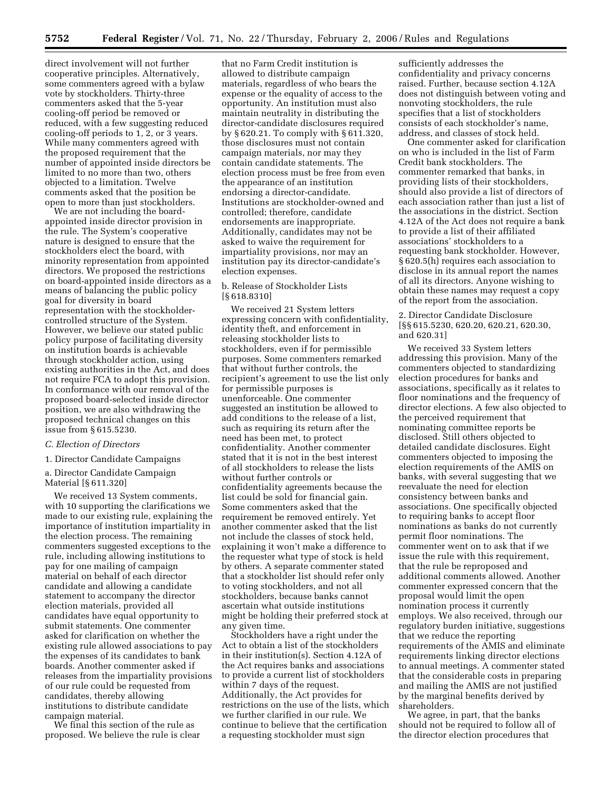direct involvement will not further cooperative principles. Alternatively, some commenters agreed with a bylaw vote by stockholders. Thirty-three commenters asked that the 5-year cooling-off period be removed or reduced, with a few suggesting reduced cooling-off periods to 1, 2, or 3 years. While many commenters agreed with the proposed requirement that the number of appointed inside directors be limited to no more than two, others objected to a limitation. Twelve comments asked that the position be open to more than just stockholders.

We are not including the boardappointed inside director provision in the rule. The System's cooperative nature is designed to ensure that the stockholders elect the board, with minority representation from appointed directors. We proposed the restrictions on board-appointed inside directors as a means of balancing the public policy goal for diversity in board representation with the stockholdercontrolled structure of the System. However, we believe our stated public policy purpose of facilitating diversity on institution boards is achievable through stockholder action, using existing authorities in the Act, and does not require FCA to adopt this provision. In conformance with our removal of the proposed board-selected inside director position, we are also withdrawing the proposed technical changes on this issue from § 615.5230.

## *C. Election of Directors*

1. Director Candidate Campaigns

## a. Director Candidate Campaign Material [§ 611.320]

We received 13 System comments, with 10 supporting the clarifications we made to our existing rule, explaining the importance of institution impartiality in the election process. The remaining commenters suggested exceptions to the rule, including allowing institutions to pay for one mailing of campaign material on behalf of each director candidate and allowing a candidate statement to accompany the director election materials, provided all candidates have equal opportunity to submit statements. One commenter asked for clarification on whether the existing rule allowed associations to pay the expenses of its candidates to bank boards. Another commenter asked if releases from the impartiality provisions of our rule could be requested from candidates, thereby allowing institutions to distribute candidate campaign material.

We final this section of the rule as proposed. We believe the rule is clear

that no Farm Credit institution is allowed to distribute campaign materials, regardless of who bears the expense or the equality of access to the opportunity. An institution must also maintain neutrality in distributing the director-candidate disclosures required by § 620.21. To comply with § 611.320, those disclosures must not contain campaign materials, nor may they contain candidate statements. The election process must be free from even the appearance of an institution endorsing a director-candidate. Institutions are stockholder-owned and controlled; therefore, candidate endorsements are inappropriate. Additionally, candidates may not be asked to waive the requirement for impartiality provisions, nor may an institution pay its director-candidate's election expenses.

#### b. Release of Stockholder Lists [§ 618.8310]

We received 21 System letters expressing concern with confidentiality, identity theft, and enforcement in releasing stockholder lists to stockholders, even if for permissible purposes. Some commenters remarked that without further controls, the recipient's agreement to use the list only for permissible purposes is unenforceable. One commenter suggested an institution be allowed to add conditions to the release of a list, such as requiring its return after the need has been met, to protect confidentiality. Another commenter stated that it is not in the best interest of all stockholders to release the lists without further controls or confidentiality agreements because the list could be sold for financial gain. Some commenters asked that the requirement be removed entirely. Yet another commenter asked that the list not include the classes of stock held, explaining it won't make a difference to the requester what type of stock is held by others. A separate commenter stated that a stockholder list should refer only to voting stockholders, and not all stockholders, because banks cannot ascertain what outside institutions might be holding their preferred stock at any given time.

Stockholders have a right under the Act to obtain a list of the stockholders in their institution(s). Section 4.12A of the Act requires banks and associations to provide a current list of stockholders within 7 days of the request. Additionally, the Act provides for restrictions on the use of the lists, which we further clarified in our rule. We continue to believe that the certification a requesting stockholder must sign

sufficiently addresses the confidentiality and privacy concerns raised. Further, because section 4.12A does not distinguish between voting and nonvoting stockholders, the rule specifies that a list of stockholders consists of each stockholder's name, address, and classes of stock held.

One commenter asked for clarification on who is included in the list of Farm Credit bank stockholders. The commenter remarked that banks, in providing lists of their stockholders, should also provide a list of directors of each association rather than just a list of the associations in the district. Section 4.12A of the Act does not require a bank to provide a list of their affiliated associations' stockholders to a requesting bank stockholder. However, § 620.5(h) requires each association to disclose in its annual report the names of all its directors. Anyone wishing to obtain these names may request a copy of the report from the association.

#### 2. Director Candidate Disclosure [§§ 615.5230, 620.20, 620.21, 620.30, and 620.31]

We received 33 System letters addressing this provision. Many of the commenters objected to standardizing election procedures for banks and associations, specifically as it relates to floor nominations and the frequency of director elections. A few also objected to the perceived requirement that nominating committee reports be disclosed. Still others objected to detailed candidate disclosures. Eight commenters objected to imposing the election requirements of the AMIS on banks, with several suggesting that we reevaluate the need for election consistency between banks and associations. One specifically objected to requiring banks to accept floor nominations as banks do not currently permit floor nominations. The commenter went on to ask that if we issue the rule with this requirement, that the rule be reproposed and additional comments allowed. Another commenter expressed concern that the proposal would limit the open nomination process it currently employs. We also received, through our regulatory burden initiative, suggestions that we reduce the reporting requirements of the AMIS and eliminate requirements linking director elections to annual meetings. A commenter stated that the considerable costs in preparing and mailing the AMIS are not justified by the marginal benefits derived by shareholders.

We agree, in part, that the banks should not be required to follow all of the director election procedures that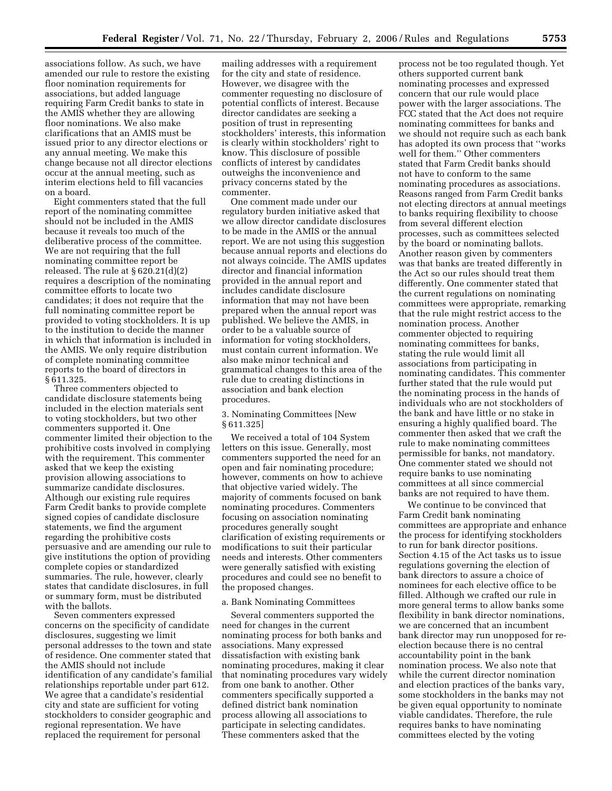associations follow. As such, we have amended our rule to restore the existing floor nomination requirements for associations, but added language requiring Farm Credit banks to state in the AMIS whether they are allowing floor nominations. We also make clarifications that an AMIS must be issued prior to any director elections or any annual meeting. We make this change because not all director elections occur at the annual meeting, such as interim elections held to fill vacancies on a board.

Eight commenters stated that the full report of the nominating committee should not be included in the AMIS because it reveals too much of the deliberative process of the committee. We are not requiring that the full nominating committee report be released. The rule at § 620.21(d)(2) requires a description of the nominating committee efforts to locate two candidates; it does not require that the full nominating committee report be provided to voting stockholders. It is up to the institution to decide the manner in which that information is included in the AMIS. We only require distribution of complete nominating committee reports to the board of directors in § 611.325.

Three commenters objected to candidate disclosure statements being included in the election materials sent to voting stockholders, but two other commenters supported it. One commenter limited their objection to the prohibitive costs involved in complying with the requirement. This commenter asked that we keep the existing provision allowing associations to summarize candidate disclosures. Although our existing rule requires Farm Credit banks to provide complete signed copies of candidate disclosure statements, we find the argument regarding the prohibitive costs persuasive and are amending our rule to give institutions the option of providing complete copies or standardized summaries. The rule, however, clearly states that candidate disclosures, in full or summary form, must be distributed with the ballots.

Seven commenters expressed concerns on the specificity of candidate disclosures, suggesting we limit personal addresses to the town and state of residence. One commenter stated that the AMIS should not include identification of any candidate's familial relationships reportable under part 612. We agree that a candidate's residential city and state are sufficient for voting stockholders to consider geographic and regional representation. We have replaced the requirement for personal

mailing addresses with a requirement for the city and state of residence. However, we disagree with the commenter requesting no disclosure of potential conflicts of interest. Because director candidates are seeking a position of trust in representing stockholders' interests, this information is clearly within stockholders' right to know. This disclosure of possible conflicts of interest by candidates outweighs the inconvenience and privacy concerns stated by the commenter.

One comment made under our regulatory burden initiative asked that we allow director candidate disclosures to be made in the AMIS or the annual report. We are not using this suggestion because annual reports and elections do not always coincide. The AMIS updates director and financial information provided in the annual report and includes candidate disclosure information that may not have been prepared when the annual report was published. We believe the AMIS, in order to be a valuable source of information for voting stockholders, must contain current information. We also make minor technical and grammatical changes to this area of the rule due to creating distinctions in association and bank election procedures.

3. Nominating Committees [New § 611.325]

We received a total of 104 System letters on this issue. Generally, most commenters supported the need for an open and fair nominating procedure; however, comments on how to achieve that objective varied widely. The majority of comments focused on bank nominating procedures. Commenters focusing on association nominating procedures generally sought clarification of existing requirements or modifications to suit their particular needs and interests. Other commenters were generally satisfied with existing procedures and could see no benefit to the proposed changes.

## a. Bank Nominating Committees

Several commenters supported the need for changes in the current nominating process for both banks and associations. Many expressed dissatisfaction with existing bank nominating procedures, making it clear that nominating procedures vary widely from one bank to another. Other commenters specifically supported a defined district bank nomination process allowing all associations to participate in selecting candidates. These commenters asked that the

process not be too regulated though. Yet others supported current bank nominating processes and expressed concern that our rule would place power with the larger associations. The FCC stated that the Act does not require nominating committees for banks and we should not require such as each bank has adopted its own process that ''works well for them.'' Other commenters stated that Farm Credit banks should not have to conform to the same nominating procedures as associations. Reasons ranged from Farm Credit banks not electing directors at annual meetings to banks requiring flexibility to choose from several different election processes, such as committees selected by the board or nominating ballots. Another reason given by commenters was that banks are treated differently in the Act so our rules should treat them differently. One commenter stated that the current regulations on nominating committees were appropriate, remarking that the rule might restrict access to the nomination process. Another commenter objected to requiring nominating committees for banks, stating the rule would limit all associations from participating in nominating candidates. This commenter further stated that the rule would put the nominating process in the hands of individuals who are not stockholders of the bank and have little or no stake in ensuring a highly qualified board. The commenter then asked that we craft the rule to make nominating committees permissible for banks, not mandatory. One commenter stated we should not require banks to use nominating committees at all since commercial banks are not required to have them.

We continue to be convinced that Farm Credit bank nominating committees are appropriate and enhance the process for identifying stockholders to run for bank director positions. Section 4.15 of the Act tasks us to issue regulations governing the election of bank directors to assure a choice of nominees for each elective office to be filled. Although we crafted our rule in more general terms to allow banks some flexibility in bank director nominations, we are concerned that an incumbent bank director may run unopposed for reelection because there is no central accountability point in the bank nomination process. We also note that while the current director nomination and election practices of the banks vary, some stockholders in the banks may not be given equal opportunity to nominate viable candidates. Therefore, the rule requires banks to have nominating committees elected by the voting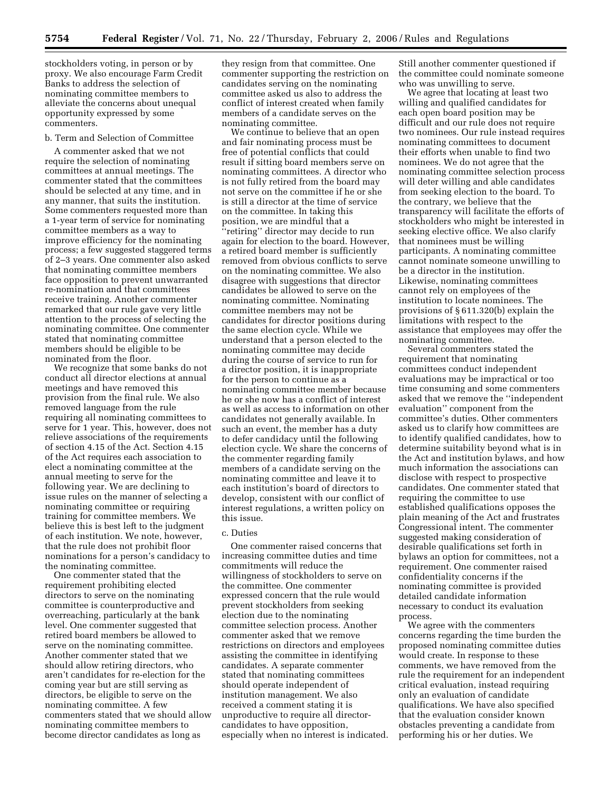stockholders voting, in person or by proxy. We also encourage Farm Credit Banks to address the selection of nominating committee members to alleviate the concerns about unequal opportunity expressed by some commenters.

## b. Term and Selection of Committee

A commenter asked that we not require the selection of nominating committees at annual meetings. The commenter stated that the committees should be selected at any time, and in any manner, that suits the institution. Some commenters requested more than a 1-year term of service for nominating committee members as a way to improve efficiency for the nominating process; a few suggested staggered terms of 2–3 years. One commenter also asked that nominating committee members face opposition to prevent unwarranted re-nomination and that committees receive training. Another commenter remarked that our rule gave very little attention to the process of selecting the nominating committee. One commenter stated that nominating committee members should be eligible to be nominated from the floor.

We recognize that some banks do not conduct all director elections at annual meetings and have removed this provision from the final rule. We also removed language from the rule requiring all nominating committees to serve for 1 year. This, however, does not relieve associations of the requirements of section 4.15 of the Act. Section 4.15 of the Act requires each association to elect a nominating committee at the annual meeting to serve for the following year. We are declining to issue rules on the manner of selecting a nominating committee or requiring training for committee members. We believe this is best left to the judgment of each institution. We note, however, that the rule does not prohibit floor nominations for a person's candidacy to the nominating committee.

One commenter stated that the requirement prohibiting elected directors to serve on the nominating committee is counterproductive and overreaching, particularly at the bank level. One commenter suggested that retired board members be allowed to serve on the nominating committee. Another commenter stated that we should allow retiring directors, who aren't candidates for re-election for the coming year but are still serving as directors, be eligible to serve on the nominating committee. A few commenters stated that we should allow nominating committee members to become director candidates as long as

they resign from that committee. One commenter supporting the restriction on candidates serving on the nominating committee asked us also to address the conflict of interest created when family members of a candidate serves on the nominating committee.

We continue to believe that an open and fair nominating process must be free of potential conflicts that could result if sitting board members serve on nominating committees. A director who is not fully retired from the board may not serve on the committee if he or she is still a director at the time of service on the committee. In taking this position, we are mindful that a

''retiring'' director may decide to run again for election to the board. However, a retired board member is sufficiently removed from obvious conflicts to serve on the nominating committee. We also disagree with suggestions that director candidates be allowed to serve on the nominating committee. Nominating committee members may not be candidates for director positions during the same election cycle. While we understand that a person elected to the nominating committee may decide during the course of service to run for a director position, it is inappropriate for the person to continue as a nominating committee member because he or she now has a conflict of interest as well as access to information on other candidates not generally available. In such an event, the member has a duty to defer candidacy until the following election cycle. We share the concerns of the commenter regarding family members of a candidate serving on the nominating committee and leave it to each institution's board of directors to develop, consistent with our conflict of interest regulations, a written policy on this issue.

#### c. Duties

One commenter raised concerns that increasing committee duties and time commitments will reduce the willingness of stockholders to serve on the committee. One commenter expressed concern that the rule would prevent stockholders from seeking election due to the nominating committee selection process. Another commenter asked that we remove restrictions on directors and employees assisting the committee in identifying candidates. A separate commenter stated that nominating committees should operate independent of institution management. We also received a comment stating it is unproductive to require all directorcandidates to have opposition, especially when no interest is indicated.

Still another commenter questioned if the committee could nominate someone who was unwilling to serve.

We agree that locating at least two willing and qualified candidates for each open board position may be difficult and our rule does not require two nominees. Our rule instead requires nominating committees to document their efforts when unable to find two nominees. We do not agree that the nominating committee selection process will deter willing and able candidates from seeking election to the board. To the contrary, we believe that the transparency will facilitate the efforts of stockholders who might be interested in seeking elective office. We also clarify that nominees must be willing participants. A nominating committee cannot nominate someone unwilling to be a director in the institution. Likewise, nominating committees cannot rely on employees of the institution to locate nominees. The provisions of § 611.320(b) explain the limitations with respect to the assistance that employees may offer the nominating committee.

Several commenters stated the requirement that nominating committees conduct independent evaluations may be impractical or too time consuming and some commenters asked that we remove the ''independent evaluation'' component from the committee's duties. Other commenters asked us to clarify how committees are to identify qualified candidates, how to determine suitability beyond what is in the Act and institution bylaws, and how much information the associations can disclose with respect to prospective candidates. One commenter stated that requiring the committee to use established qualifications opposes the plain meaning of the Act and frustrates Congressional intent. The commenter suggested making consideration of desirable qualifications set forth in bylaws an option for committees, not a requirement. One commenter raised confidentiality concerns if the nominating committee is provided detailed candidate information necessary to conduct its evaluation process.

We agree with the commenters concerns regarding the time burden the proposed nominating committee duties would create. In response to these comments, we have removed from the rule the requirement for an independent critical evaluation, instead requiring only an evaluation of candidate qualifications. We have also specified that the evaluation consider known obstacles preventing a candidate from performing his or her duties. We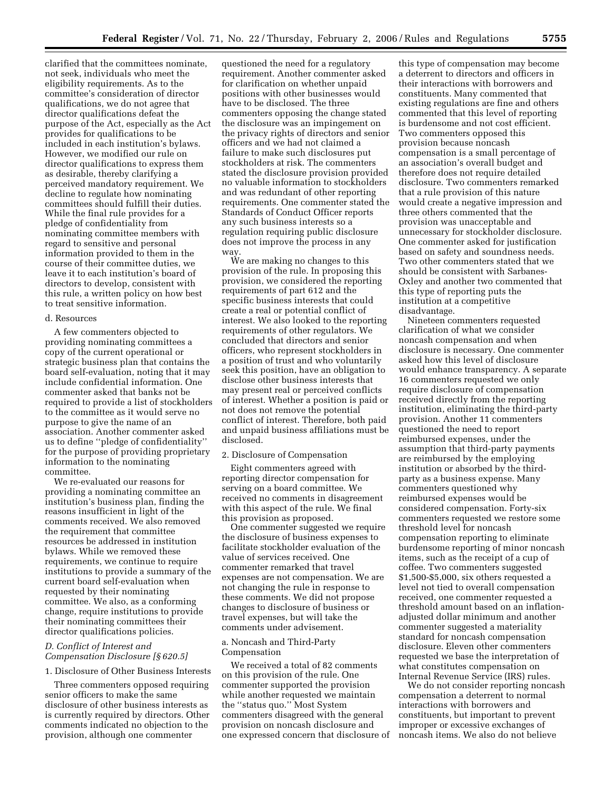clarified that the committees nominate, not seek, individuals who meet the eligibility requirements. As to the committee's consideration of director qualifications, we do not agree that director qualifications defeat the purpose of the Act, especially as the Act provides for qualifications to be included in each institution's bylaws. However, we modified our rule on director qualifications to express them as desirable, thereby clarifying a perceived mandatory requirement. We decline to regulate how nominating committees should fulfill their duties. While the final rule provides for a pledge of confidentiality from nominating committee members with regard to sensitive and personal information provided to them in the course of their committee duties, we leave it to each institution's board of directors to develop, consistent with this rule, a written policy on how best to treat sensitive information.

#### d. Resources

A few commenters objected to providing nominating committees a copy of the current operational or strategic business plan that contains the board self-evaluation, noting that it may include confidential information. One commenter asked that banks not be required to provide a list of stockholders to the committee as it would serve no purpose to give the name of an association. Another commenter asked us to define ''pledge of confidentiality'' for the purpose of providing proprietary information to the nominating committee.

We re-evaluated our reasons for providing a nominating committee an institution's business plan, finding the reasons insufficient in light of the comments received. We also removed the requirement that committee resources be addressed in institution bylaws. While we removed these requirements, we continue to require institutions to provide a summary of the current board self-evaluation when requested by their nominating committee. We also, as a conforming change, require institutions to provide their nominating committees their director qualifications policies.

## *D. Conflict of Interest and Compensation Disclosure [§ 620.5]*

#### 1. Disclosure of Other Business Interests

Three commenters opposed requiring senior officers to make the same disclosure of other business interests as is currently required by directors. Other comments indicated no objection to the provision, although one commenter

questioned the need for a regulatory requirement. Another commenter asked for clarification on whether unpaid positions with other businesses would have to be disclosed. The three commenters opposing the change stated the disclosure was an impingement on the privacy rights of directors and senior officers and we had not claimed a failure to make such disclosures put stockholders at risk. The commenters stated the disclosure provision provided no valuable information to stockholders and was redundant of other reporting requirements. One commenter stated the Standards of Conduct Officer reports any such business interests so a regulation requiring public disclosure does not improve the process in any way

We are making no changes to this provision of the rule. In proposing this provision, we considered the reporting requirements of part 612 and the specific business interests that could create a real or potential conflict of interest. We also looked to the reporting requirements of other regulators. We concluded that directors and senior officers, who represent stockholders in a position of trust and who voluntarily seek this position, have an obligation to disclose other business interests that may present real or perceived conflicts of interest. Whether a position is paid or not does not remove the potential conflict of interest. Therefore, both paid and unpaid business affiliations must be disclosed.

#### 2. Disclosure of Compensation

Eight commenters agreed with reporting director compensation for serving on a board committee. We received no comments in disagreement with this aspect of the rule. We final this provision as proposed.

One commenter suggested we require the disclosure of business expenses to facilitate stockholder evaluation of the value of services received. One commenter remarked that travel expenses are not compensation. We are not changing the rule in response to these comments. We did not propose changes to disclosure of business or travel expenses, but will take the comments under advisement.

## a. Noncash and Third-Party Compensation

We received a total of 82 comments on this provision of the rule. One commenter supported the provision while another requested we maintain the ''status quo.'' Most System commenters disagreed with the general provision on noncash disclosure and one expressed concern that disclosure of

this type of compensation may become a deterrent to directors and officers in their interactions with borrowers and constituents. Many commented that existing regulations are fine and others commented that this level of reporting is burdensome and not cost efficient. Two commenters opposed this provision because noncash compensation is a small percentage of an association's overall budget and therefore does not require detailed disclosure. Two commenters remarked that a rule provision of this nature would create a negative impression and three others commented that the provision was unacceptable and unnecessary for stockholder disclosure. One commenter asked for justification based on safety and soundness needs. Two other commenters stated that we should be consistent with Sarbanes-Oxley and another two commented that this type of reporting puts the institution at a competitive disadvantage.

Nineteen commenters requested clarification of what we consider noncash compensation and when disclosure is necessary. One commenter asked how this level of disclosure would enhance transparency. A separate 16 commenters requested we only require disclosure of compensation received directly from the reporting institution, eliminating the third-party provision. Another 11 commenters questioned the need to report reimbursed expenses, under the assumption that third-party payments are reimbursed by the employing institution or absorbed by the thirdparty as a business expense. Many commenters questioned why reimbursed expenses would be considered compensation. Forty-six commenters requested we restore some threshold level for noncash compensation reporting to eliminate burdensome reporting of minor noncash items, such as the receipt of a cup of coffee. Two commenters suggested \$1,500-\$5,000, six others requested a level not tied to overall compensation received, one commenter requested a threshold amount based on an inflationadjusted dollar minimum and another commenter suggested a materiality standard for noncash compensation disclosure. Eleven other commenters requested we base the interpretation of what constitutes compensation on Internal Revenue Service (IRS) rules.

We do not consider reporting noncash compensation a deterrent to normal interactions with borrowers and constituents, but important to prevent improper or excessive exchanges of noncash items. We also do not believe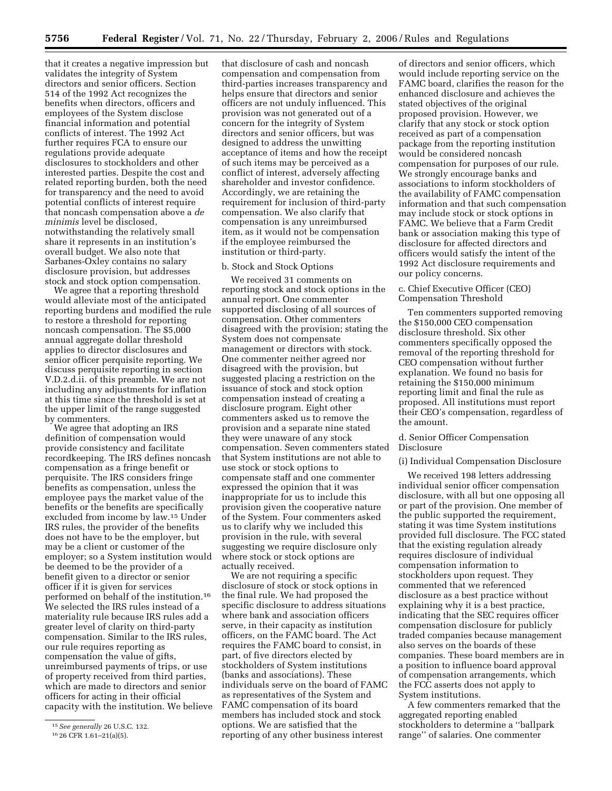that it creates a negative impression but validates the integrity of System directors and senior officers. Section 514 of the 1992 Act recognizes the benefits when directors, officers and employees of the System disclose financial information and potential conflicts of interest. The 1992 Act further requires FCA to ensure our regulations provide adequate disclosures to stockholders and other interested parties. Despite the cost and related reporting burden, both the need for transparency and the need to avoid potential conflicts of interest require that noncash compensation above a *de minimis* level be disclosed, notwithstanding the relatively small share it represents in an institution's overall budget. We also note that Sarbanes-Oxley contains no salary disclosure provision, but addresses stock and stock option compensation.

We agree that a reporting threshold would alleviate most of the anticipated reporting burdens and modified the rule to restore a threshold for reporting noncash compensation. The \$5,000 annual aggregate dollar threshold applies to director disclosures and senior officer perquisite reporting. We discuss perquisite reporting in section V.D.2.d.ii. of this preamble. We are not including any adjustments for inflation at this time since the threshold is set at the upper limit of the range suggested by commenters.

We agree that adopting an IRS definition of compensation would provide consistency and facilitate recordkeeping. The IRS defines noncash compensation as a fringe benefit or perquisite. The IRS considers fringe benefits as compensation, unless the employee pays the market value of the benefits or the benefits are specifically excluded from income by law.15 Under IRS rules, the provider of the benefits does not have to be the employer, but may be a client or customer of the employer; so a System institution would be deemed to be the provider of a benefit given to a director or senior officer if it is given for services performed on behalf of the institution.16 We selected the IRS rules instead of a materiality rule because IRS rules add a greater level of clarity on third-party compensation. Similar to the IRS rules, our rule requires reporting as compensation the value of gifts, unreimbursed payments of trips, or use of property received from third parties, which are made to directors and senior officers for acting in their official capacity with the institution. We believe that disclosure of cash and noncash compensation and compensation from third-parties increases transparency and helps ensure that directors and senior officers are not unduly influenced. This provision was not generated out of a concern for the integrity of System directors and senior officers, but was designed to address the unwitting acceptance of items and how the receipt of such items may be perceived as a conflict of interest, adversely affecting shareholder and investor confidence. Accordingly, we are retaining the requirement for inclusion of third-party compensation. We also clarify that compensation is any unreimbursed item, as it would not be compensation if the employee reimbursed the institution or third-party.

## b. Stock and Stock Options

We received 31 comments on reporting stock and stock options in the annual report. One commenter supported disclosing of all sources of compensation. Other commenters disagreed with the provision; stating the System does not compensate management or directors with stock. One commenter neither agreed nor disagreed with the provision, but suggested placing a restriction on the issuance of stock and stock option compensation instead of creating a disclosure program. Eight other commenters asked us to remove the provision and a separate nine stated they were unaware of any stock compensation. Seven commenters stated that System institutions are not able to use stock or stock options to compensate staff and one commenter expressed the opinion that it was inappropriate for us to include this provision given the cooperative nature of the System. Four commenters asked us to clarify why we included this provision in the rule, with several suggesting we require disclosure only where stock or stock options are actually received.

We are not requiring a specific disclosure of stock or stock options in the final rule. We had proposed the specific disclosure to address situations where bank and association officers serve, in their capacity as institution officers, on the FAMC board. The Act requires the FAMC board to consist, in part, of five directors elected by stockholders of System institutions (banks and associations). These individuals serve on the board of FAMC as representatives of the System and FAMC compensation of its board members has included stock and stock options. We are satisfied that the reporting of any other business interest

of directors and senior officers, which would include reporting service on the FAMC board, clarifies the reason for the enhanced disclosure and achieves the stated objectives of the original proposed provision. However, we clarify that any stock or stock option received as part of a compensation package from the reporting institution would be considered noncash compensation for purposes of our rule. We strongly encourage banks and associations to inform stockholders of the availability of FAMC compensation information and that such compensation may include stock or stock options in FAMC. We believe that a Farm Credit bank or association making this type of disclosure for affected directors and officers would satisfy the intent of the 1992 Act disclosure requirements and our policy concerns.

## c. Chief Executive Officer (CEO) Compensation Threshold

Ten commenters supported removing the \$150,000 CEO compensation disclosure threshold. Six other commenters specifically opposed the removal of the reporting threshold for CEO compensation without further explanation. We found no basis for retaining the \$150,000 minimum reporting limit and final the rule as proposed. All institutions must report their CEO's compensation, regardless of the amount.

## d. Senior Officer Compensation Disclosure

## (i) Individual Compensation Disclosure

We received 198 letters addressing individual senior officer compensation disclosure, with all but one opposing all or part of the provision. One member of the public supported the requirement, stating it was time System institutions provided full disclosure. The FCC stated that the existing regulation already requires disclosure of individual compensation information to stockholders upon request. They commented that we referenced disclosure as a best practice without explaining why it is a best practice, indicating that the SEC requires officer compensation disclosure for publicly traded companies because management also serves on the boards of these companies. These board members are in a position to influence board approval of compensation arrangements, which the FCC asserts does not apply to System institutions.

A few commenters remarked that the aggregated reporting enabled stockholders to determine a ''ballpark range'' of salaries. One commenter

<sup>15</sup>*See generally* 26 U.S.C. 132.

<sup>16</sup> 26 CFR 1.61–21(a)(5).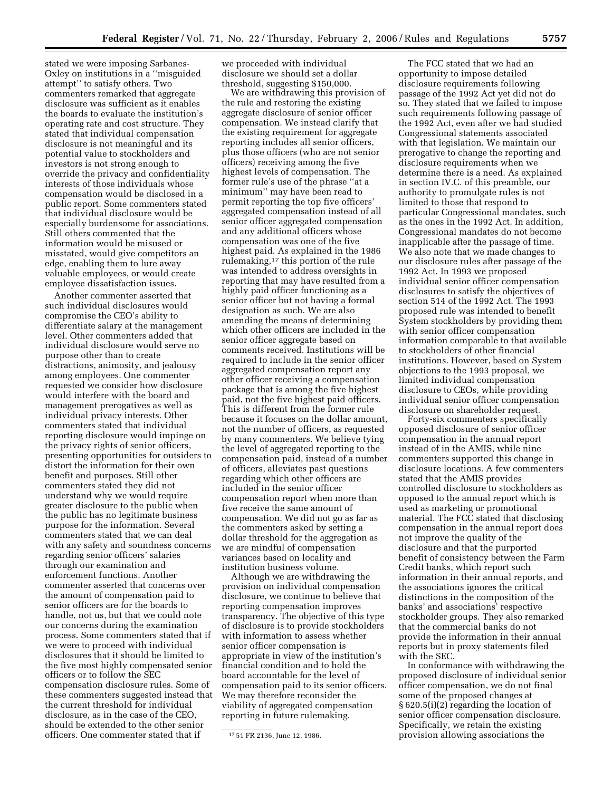stated we were imposing Sarbanes-Oxley on institutions in a ''misguided attempt'' to satisfy others. Two commenters remarked that aggregate disclosure was sufficient as it enables the boards to evaluate the institution's operating rate and cost structure. They stated that individual compensation disclosure is not meaningful and its potential value to stockholders and investors is not strong enough to override the privacy and confidentiality interests of those individuals whose compensation would be disclosed in a public report. Some commenters stated that individual disclosure would be especially burdensome for associations. Still others commented that the information would be misused or misstated, would give competitors an edge, enabling them to lure away valuable employees, or would create employee dissatisfaction issues.

Another commenter asserted that such individual disclosures would compromise the CEO's ability to differentiate salary at the management level. Other commenters added that individual disclosure would serve no purpose other than to create distractions, animosity, and jealousy among employees. One commenter requested we consider how disclosure would interfere with the board and management prerogatives as well as individual privacy interests. Other commenters stated that individual reporting disclosure would impinge on the privacy rights of senior officers, presenting opportunities for outsiders to distort the information for their own benefit and purposes. Still other commenters stated they did not understand why we would require greater disclosure to the public when the public has no legitimate business purpose for the information. Several commenters stated that we can deal with any safety and soundness concerns regarding senior officers' salaries through our examination and enforcement functions. Another commenter asserted that concerns over the amount of compensation paid to senior officers are for the boards to handle, not us, but that we could note our concerns during the examination process. Some commenters stated that if we were to proceed with individual disclosures that it should be limited to the five most highly compensated senior officers or to follow the SEC compensation disclosure rules. Some of these commenters suggested instead that the current threshold for individual disclosure, as in the case of the CEO, should be extended to the other senior officers. One commenter stated that if

we proceeded with individual disclosure we should set a dollar threshold, suggesting \$150,000.

We are withdrawing this provision of the rule and restoring the existing aggregate disclosure of senior officer compensation. We instead clarify that the existing requirement for aggregate reporting includes all senior officers, plus those officers (who are not senior officers) receiving among the five highest levels of compensation. The former rule's use of the phrase ''at a minimum'' may have been read to permit reporting the top five officers' aggregated compensation instead of all senior officer aggregated compensation and any additional officers whose compensation was one of the five highest paid. As explained in the 1986 rulemaking,17 this portion of the rule was intended to address oversights in reporting that may have resulted from a highly paid officer functioning as a senior officer but not having a formal designation as such. We are also amending the means of determining which other officers are included in the senior officer aggregate based on comments received. Institutions will be required to include in the senior officer aggregated compensation report any other officer receiving a compensation package that is among the five highest paid, not the five highest paid officers. This is different from the former rule because it focuses on the dollar amount, not the number of officers, as requested by many commenters. We believe tying the level of aggregated reporting to the compensation paid, instead of a number of officers, alleviates past questions regarding which other officers are included in the senior officer compensation report when more than five receive the same amount of compensation. We did not go as far as the commenters asked by setting a dollar threshold for the aggregation as we are mindful of compensation variances based on locality and institution business volume.

Although we are withdrawing the provision on individual compensation disclosure, we continue to believe that reporting compensation improves transparency. The objective of this type of disclosure is to provide stockholders with information to assess whether senior officer compensation is appropriate in view of the institution's financial condition and to hold the board accountable for the level of compensation paid to its senior officers. We may therefore reconsider the viability of aggregated compensation reporting in future rulemaking.

The FCC stated that we had an opportunity to impose detailed disclosure requirements following passage of the 1992 Act yet did not do so. They stated that we failed to impose such requirements following passage of the 1992 Act, even after we had studied Congressional statements associated with that legislation. We maintain our prerogative to change the reporting and disclosure requirements when we determine there is a need. As explained in section IV.C. of this preamble, our authority to promulgate rules is not limited to those that respond to particular Congressional mandates, such as the ones in the 1992 Act. In addition, Congressional mandates do not become inapplicable after the passage of time. We also note that we made changes to our disclosure rules after passage of the 1992 Act. In 1993 we proposed individual senior officer compensation disclosures to satisfy the objectives of section 514 of the 1992 Act. The 1993 proposed rule was intended to benefit System stockholders by providing them with senior officer compensation information comparable to that available to stockholders of other financial institutions. However, based on System objections to the 1993 proposal, we limited individual compensation disclosure to CEOs, while providing individual senior officer compensation disclosure on shareholder request.

Forty-six commenters specifically opposed disclosure of senior officer compensation in the annual report instead of in the AMIS, while nine commenters supported this change in disclosure locations. A few commenters stated that the AMIS provides controlled disclosure to stockholders as opposed to the annual report which is used as marketing or promotional material. The FCC stated that disclosing compensation in the annual report does not improve the quality of the disclosure and that the purported benefit of consistency between the Farm Credit banks, which report such information in their annual reports, and the associations ignores the critical distinctions in the composition of the banks' and associations' respective stockholder groups. They also remarked that the commercial banks do not provide the information in their annual reports but in proxy statements filed with the SEC.

In conformance with withdrawing the proposed disclosure of individual senior officer compensation, we do not final some of the proposed changes at § 620.5(i)(2) regarding the location of senior officer compensation disclosure. Specifically, we retain the existing provision allowing associations the

<sup>17</sup> 51 FR 2136, June 12, 1986.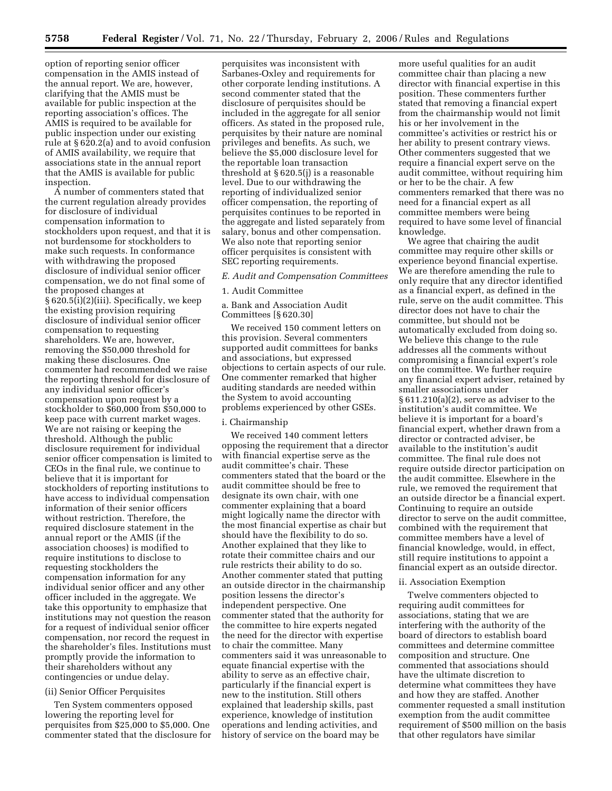option of reporting senior officer compensation in the AMIS instead of the annual report. We are, however, clarifying that the AMIS must be available for public inspection at the reporting association's offices. The AMIS is required to be available for public inspection under our existing rule at § 620.2(a) and to avoid confusion of AMIS availability, we require that associations state in the annual report that the AMIS is available for public inspection.

A number of commenters stated that the current regulation already provides for disclosure of individual compensation information to stockholders upon request, and that it is not burdensome for stockholders to make such requests. In conformance with withdrawing the proposed disclosure of individual senior officer compensation, we do not final some of the proposed changes at § 620.5(i)(2)(iii). Specifically, we keep the existing provision requiring disclosure of individual senior officer compensation to requesting shareholders. We are, however, removing the \$50,000 threshold for making these disclosures. One commenter had recommended we raise the reporting threshold for disclosure of any individual senior officer's compensation upon request by a stockholder to \$60,000 from \$50,000 to keep pace with current market wages. We are not raising or keeping the threshold. Although the public disclosure requirement for individual senior officer compensation is limited to CEOs in the final rule, we continue to believe that it is important for stockholders of reporting institutions to have access to individual compensation information of their senior officers without restriction. Therefore, the required disclosure statement in the annual report or the AMIS (if the association chooses) is modified to require institutions to disclose to requesting stockholders the compensation information for any individual senior officer and any other officer included in the aggregate. We take this opportunity to emphasize that institutions may not question the reason for a request of individual senior officer compensation, nor record the request in the shareholder's files. Institutions must promptly provide the information to their shareholders without any contingencies or undue delay.

#### (ii) Senior Officer Perquisites

Ten System commenters opposed lowering the reporting level for perquisites from \$25,000 to \$5,000. One commenter stated that the disclosure for

perquisites was inconsistent with Sarbanes-Oxley and requirements for other corporate lending institutions. A second commenter stated that the disclosure of perquisites should be included in the aggregate for all senior officers. As stated in the proposed rule, perquisites by their nature are nominal privileges and benefits. As such, we believe the \$5,000 disclosure level for the reportable loan transaction threshold at § 620.5(j) is a reasonable level. Due to our withdrawing the reporting of individualized senior officer compensation, the reporting of perquisites continues to be reported in the aggregate and listed separately from salary, bonus and other compensation. We also note that reporting senior officer perquisites is consistent with SEC reporting requirements.

## *E. Audit and Compensation Committees*

#### 1. Audit Committee

a. Bank and Association Audit Committees [§ 620.30]

We received 150 comment letters on this provision. Several commenters supported audit committees for banks and associations, but expressed objections to certain aspects of our rule. One commenter remarked that higher auditing standards are needed within the System to avoid accounting problems experienced by other GSEs.

#### i. Chairmanship

We received 140 comment letters opposing the requirement that a director with financial expertise serve as the audit committee's chair. These commenters stated that the board or the audit committee should be free to designate its own chair, with one commenter explaining that a board might logically name the director with the most financial expertise as chair but should have the flexibility to do so. Another explained that they like to rotate their committee chairs and our rule restricts their ability to do so. Another commenter stated that putting an outside director in the chairmanship position lessens the director's independent perspective. One commenter stated that the authority for the committee to hire experts negated the need for the director with expertise to chair the committee. Many commenters said it was unreasonable to equate financial expertise with the ability to serve as an effective chair, particularly if the financial expert is new to the institution. Still others explained that leadership skills, past experience, knowledge of institution operations and lending activities, and history of service on the board may be

more useful qualities for an audit committee chair than placing a new director with financial expertise in this position. These commenters further stated that removing a financial expert from the chairmanship would not limit his or her involvement in the committee's activities or restrict his or her ability to present contrary views. Other commenters suggested that we require a financial expert serve on the audit committee, without requiring him or her to be the chair. A few commenters remarked that there was no need for a financial expert as all committee members were being required to have some level of financial knowledge.

We agree that chairing the audit committee may require other skills or experience beyond financial expertise. We are therefore amending the rule to only require that any director identified as a financial expert, as defined in the rule, serve on the audit committee. This director does not have to chair the committee, but should not be automatically excluded from doing so. We believe this change to the rule addresses all the comments without compromising a financial expert's role on the committee. We further require any financial expert adviser, retained by smaller associations under § 611.210(a)(2), serve as adviser to the institution's audit committee. We believe it is important for a board's financial expert, whether drawn from a director or contracted adviser, be available to the institution's audit committee. The final rule does not require outside director participation on the audit committee. Elsewhere in the rule, we removed the requirement that an outside director be a financial expert. Continuing to require an outside director to serve on the audit committee, combined with the requirement that committee members have a level of financial knowledge, would, in effect, still require institutions to appoint a financial expert as an outside director.

#### ii. Association Exemption

Twelve commenters objected to requiring audit committees for associations, stating that we are interfering with the authority of the board of directors to establish board committees and determine committee composition and structure. One commented that associations should have the ultimate discretion to determine what committees they have and how they are staffed. Another commenter requested a small institution exemption from the audit committee requirement of \$500 million on the basis that other regulators have similar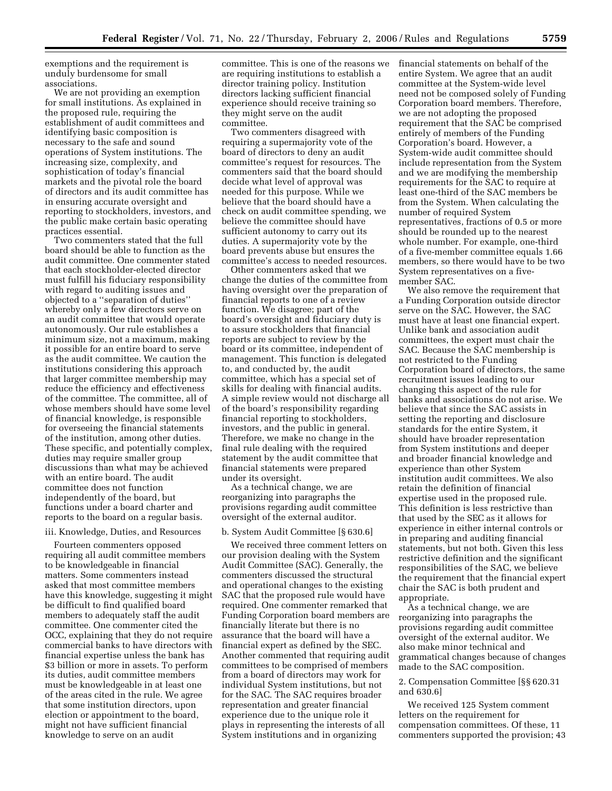exemptions and the requirement is unduly burdensome for small associations.

We are not providing an exemption for small institutions. As explained in the proposed rule, requiring the establishment of audit committees and identifying basic composition is necessary to the safe and sound operations of System institutions. The increasing size, complexity, and sophistication of today's financial markets and the pivotal role the board of directors and its audit committee has in ensuring accurate oversight and reporting to stockholders, investors, and the public make certain basic operating practices essential.

Two commenters stated that the full board should be able to function as the audit committee. One commenter stated that each stockholder-elected director must fulfill his fiduciary responsibility with regard to auditing issues and objected to a ''separation of duties'' whereby only a few directors serve on an audit committee that would operate autonomously. Our rule establishes a minimum size, not a maximum, making it possible for an entire board to serve as the audit committee. We caution the institutions considering this approach that larger committee membership may reduce the efficiency and effectiveness of the committee. The committee, all of whose members should have some level of financial knowledge, is responsible for overseeing the financial statements of the institution, among other duties. These specific, and potentially complex, duties may require smaller group discussions than what may be achieved with an entire board. The audit committee does not function independently of the board, but functions under a board charter and reports to the board on a regular basis.

## iii. Knowledge, Duties, and Resources

Fourteen commenters opposed requiring all audit committee members to be knowledgeable in financial matters. Some commenters instead asked that most committee members have this knowledge, suggesting it might be difficult to find qualified board members to adequately staff the audit committee. One commenter cited the OCC, explaining that they do not require commercial banks to have directors with financial expertise unless the bank has \$3 billion or more in assets. To perform its duties, audit committee members must be knowledgeable in at least one of the areas cited in the rule. We agree that some institution directors, upon election or appointment to the board, might not have sufficient financial knowledge to serve on an audit

committee. This is one of the reasons we are requiring institutions to establish a director training policy. Institution directors lacking sufficient financial experience should receive training so they might serve on the audit committee.

Two commenters disagreed with requiring a supermajority vote of the board of directors to deny an audit committee's request for resources. The commenters said that the board should decide what level of approval was needed for this purpose. While we believe that the board should have a check on audit committee spending, we believe the committee should have sufficient autonomy to carry out its duties. A supermajority vote by the board prevents abuse but ensures the committee's access to needed resources.

Other commenters asked that we change the duties of the committee from having oversight over the preparation of financial reports to one of a review function. We disagree; part of the board's oversight and fiduciary duty is to assure stockholders that financial reports are subject to review by the board or its committee, independent of management. This function is delegated to, and conducted by, the audit committee, which has a special set of skills for dealing with financial audits. A simple review would not discharge all of the board's responsibility regarding financial reporting to stockholders, investors, and the public in general. Therefore, we make no change in the final rule dealing with the required statement by the audit committee that financial statements were prepared under its oversight.

As a technical change, we are reorganizing into paragraphs the provisions regarding audit committee oversight of the external auditor.

## b. System Audit Committee [§ 630.6]

We received three comment letters on our provision dealing with the System Audit Committee (SAC). Generally, the commenters discussed the structural and operational changes to the existing SAC that the proposed rule would have required. One commenter remarked that Funding Corporation board members are financially literate but there is no assurance that the board will have a financial expert as defined by the SEC. Another commented that requiring audit committees to be comprised of members from a board of directors may work for individual System institutions, but not for the SAC. The SAC requires broader representation and greater financial experience due to the unique role it plays in representing the interests of all System institutions and in organizing

financial statements on behalf of the entire System. We agree that an audit committee at the System-wide level need not be composed solely of Funding Corporation board members. Therefore, we are not adopting the proposed requirement that the SAC be comprised entirely of members of the Funding Corporation's board. However, a System-wide audit committee should include representation from the System and we are modifying the membership requirements for the SAC to require at least one-third of the SAC members be from the System. When calculating the number of required System representatives, fractions of 0.5 or more should be rounded up to the nearest whole number. For example, one-third of a five-member committee equals 1.66 members, so there would have to be two System representatives on a fivemember SAC.

We also remove the requirement that a Funding Corporation outside director serve on the SAC. However, the SAC must have at least one financial expert. Unlike bank and association audit committees, the expert must chair the SAC. Because the SAC membership is not restricted to the Funding Corporation board of directors, the same recruitment issues leading to our changing this aspect of the rule for banks and associations do not arise. We believe that since the SAC assists in setting the reporting and disclosure standards for the entire System, it should have broader representation from System institutions and deeper and broader financial knowledge and experience than other System institution audit committees. We also retain the definition of financial expertise used in the proposed rule. This definition is less restrictive than that used by the SEC as it allows for experience in either internal controls or in preparing and auditing financial statements, but not both. Given this less restrictive definition and the significant responsibilities of the SAC, we believe the requirement that the financial expert chair the SAC is both prudent and appropriate.

As a technical change, we are reorganizing into paragraphs the provisions regarding audit committee oversight of the external auditor. We also make minor technical and grammatical changes because of changes made to the SAC composition.

2. Compensation Committee [§§ 620.31 and 630.6]

We received 125 System comment letters on the requirement for compensation committees. Of these, 11 commenters supported the provision; 43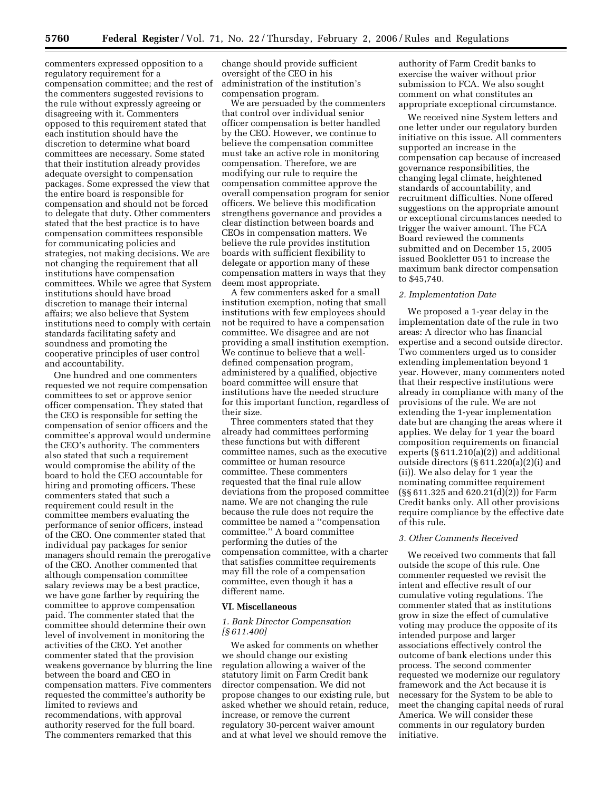commenters expressed opposition to a regulatory requirement for a compensation committee; and the rest of the commenters suggested revisions to the rule without expressly agreeing or disagreeing with it. Commenters opposed to this requirement stated that each institution should have the discretion to determine what board committees are necessary. Some stated that their institution already provides adequate oversight to compensation packages. Some expressed the view that the entire board is responsible for compensation and should not be forced to delegate that duty. Other commenters stated that the best practice is to have compensation committees responsible for communicating policies and strategies, not making decisions. We are not changing the requirement that all institutions have compensation committees. While we agree that System institutions should have broad discretion to manage their internal affairs; we also believe that System institutions need to comply with certain standards facilitating safety and soundness and promoting the cooperative principles of user control and accountability.

One hundred and one commenters requested we not require compensation committees to set or approve senior officer compensation. They stated that the CEO is responsible for setting the compensation of senior officers and the committee's approval would undermine the CEO's authority. The commenters also stated that such a requirement would compromise the ability of the board to hold the CEO accountable for hiring and promoting officers. These commenters stated that such a requirement could result in the committee members evaluating the performance of senior officers, instead of the CEO. One commenter stated that individual pay packages for senior managers should remain the prerogative of the CEO. Another commented that although compensation committee salary reviews may be a best practice, we have gone farther by requiring the committee to approve compensation paid. The commenter stated that the committee should determine their own level of involvement in monitoring the activities of the CEO. Yet another commenter stated that the provision weakens governance by blurring the line between the board and CEO in compensation matters. Five commenters requested the committee's authority be limited to reviews and recommendations, with approval authority reserved for the full board. The commenters remarked that this

change should provide sufficient oversight of the CEO in his administration of the institution's compensation program.

We are persuaded by the commenters that control over individual senior officer compensation is better handled by the CEO. However, we continue to believe the compensation committee must take an active role in monitoring compensation. Therefore, we are modifying our rule to require the compensation committee approve the overall compensation program for senior officers. We believe this modification strengthens governance and provides a clear distinction between boards and CEOs in compensation matters. We believe the rule provides institution boards with sufficient flexibility to delegate or apportion many of these compensation matters in ways that they deem most appropriate.

A few commenters asked for a small institution exemption, noting that small institutions with few employees should not be required to have a compensation committee. We disagree and are not providing a small institution exemption. We continue to believe that a welldefined compensation program, administered by a qualified, objective board committee will ensure that institutions have the needed structure for this important function, regardless of their size.

Three commenters stated that they already had committees performing these functions but with different committee names, such as the executive committee or human resource committee. These commenters requested that the final rule allow deviations from the proposed committee name. We are not changing the rule because the rule does not require the committee be named a ''compensation committee.'' A board committee performing the duties of the compensation committee, with a charter that satisfies committee requirements may fill the role of a compensation committee, even though it has a different name.

## **VI. Miscellaneous**

## *1. Bank Director Compensation [§ 611.400]*

We asked for comments on whether we should change our existing regulation allowing a waiver of the statutory limit on Farm Credit bank director compensation. We did not propose changes to our existing rule, but asked whether we should retain, reduce, increase, or remove the current regulatory 30-percent waiver amount and at what level we should remove the

authority of Farm Credit banks to exercise the waiver without prior submission to FCA. We also sought comment on what constitutes an appropriate exceptional circumstance.

We received nine System letters and one letter under our regulatory burden initiative on this issue. All commenters supported an increase in the compensation cap because of increased governance responsibilities, the changing legal climate, heightened standards of accountability, and recruitment difficulties. None offered suggestions on the appropriate amount or exceptional circumstances needed to trigger the waiver amount. The FCA Board reviewed the comments submitted and on December 15, 2005 issued Bookletter 051 to increase the maximum bank director compensation to \$45,740.

## *2. Implementation Date*

We proposed a 1-year delay in the implementation date of the rule in two areas: A director who has financial expertise and a second outside director. Two commenters urged us to consider extending implementation beyond 1 year. However, many commenters noted that their respective institutions were already in compliance with many of the provisions of the rule. We are not extending the 1-year implementation date but are changing the areas where it applies. We delay for 1 year the board composition requirements on financial experts (§ 611.210(a)(2)) and additional outside directors (§ 611.220(a)(2)(i) and (ii)). We also delay for 1 year the nominating committee requirement (§§ 611.325 and 620.21(d)(2)) for Farm Credit banks only. All other provisions require compliance by the effective date of this rule.

## *3. Other Comments Received*

We received two comments that fall outside the scope of this rule. One commenter requested we revisit the intent and effective result of our cumulative voting regulations. The commenter stated that as institutions grow in size the effect of cumulative voting may produce the opposite of its intended purpose and larger associations effectively control the outcome of bank elections under this process. The second commenter requested we modernize our regulatory framework and the Act because it is necessary for the System to be able to meet the changing capital needs of rural America. We will consider these comments in our regulatory burden initiative.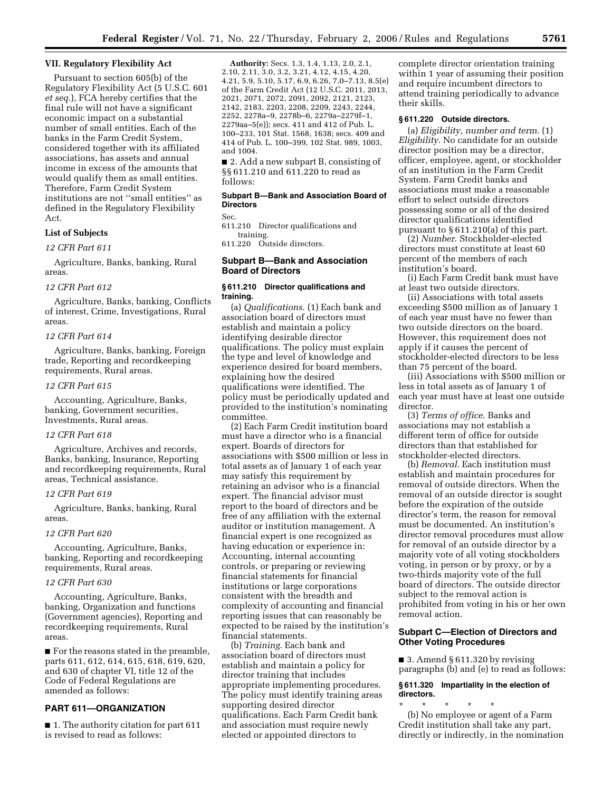## **VII. Regulatory Flexibility Act**

Pursuant to section 605(b) of the Regulatory Flexibility Act (5 U.S.C. 601 *et seq.*), FCA hereby certifies that the final rule will not have a significant economic impact on a substantial number of small entities. Each of the banks in the Farm Credit System, considered together with its affiliated associations, has assets and annual income in excess of the amounts that would qualify them as small entities. Therefore, Farm Credit System institutions are not ''small entities'' as defined in the Regulatory Flexibility Act.

#### **List of Subjects**

*12 CFR Part 611* 

Agriculture, Banks, banking, Rural areas.

#### *12 CFR Part 612*

Agriculture, Banks, banking, Conflicts of interest, Crime, Investigations, Rural areas.

#### *12 CFR Part 614*

Agriculture, Banks, banking, Foreign trade, Reporting and recordkeeping requirements, Rural areas.

#### *12 CFR Part 615*

Accounting, Agriculture, Banks, banking, Government securities, Investments, Rural areas.

#### *12 CFR Part 618*

Agriculture, Archives and records, Banks, banking, Insurance, Reporting and recordkeeping requirements, Rural areas, Technical assistance.

## *12 CFR Part 619*

Agriculture, Banks, banking, Rural areas.

## *12 CFR Part 620*

Accounting, Agriculture, Banks, banking, Reporting and recordkeeping requirements, Rural areas.

#### *12 CFR Part 630*

Accounting, Agriculture, Banks, banking, Organization and functions (Government agencies), Reporting and recordkeeping requirements, Rural areas.

■ For the reasons stated in the preamble, parts 611, 612, 614, 615, 618, 619, 620, and 630 of chapter VI, title 12 of the Code of Federal Regulations are amended as follows:

## **PART 611—ORGANIZATION**

■ 1. The authority citation for part 611 is revised to read as follows:

**Authority:** Secs. 1.3, 1.4, 1.13, 2.0, 2.1, 2.10, 2.11, 3.0, 3.2, 3.21, 4.12, 4.15, 4.20, 4.21, 5.9, 5.10, 5.17, 6.9, 6.26, 7.0–7.13, 8.5(e) of the Farm Credit Act (12 U.S.C. 2011, 2013, 2021, 2071, 2072, 2091, 2092, 2121, 2123, 2142, 2183, 2203, 2208, 2209, 2243, 2244, 2252, 2278a–9, 2278b–6, 2279a–2279f–1, 2279aa–5(e)); secs. 411 and 412 of Pub. L. 100–233, 101 Stat. 1568, 1638; secs. 409 and 414 of Pub. L. 100–399, 102 Stat. 989, 1003, and 1004.

■ 2. Add a new subpart B, consisting of §§ 611.210 and 611.220 to read as follows:

## **Subpart B—Bank and Association Board of Directors**

Sec.

611.210 Director qualifications and training.

611.220 Outside directors.

## **Subpart B—Bank and Association Board of Directors**

## **§ 611.210 Director qualifications and training.**

(a) *Qualifications*. (1) Each bank and association board of directors must establish and maintain a policy identifying desirable director qualifications. The policy must explain the type and level of knowledge and experience desired for board members, explaining how the desired qualifications were identified. The policy must be periodically updated and provided to the institution's nominating committee.

(2) Each Farm Credit institution board must have a director who is a financial expert. Boards of directors for associations with \$500 million or less in total assets as of January 1 of each year may satisfy this requirement by retaining an advisor who is a financial expert. The financial advisor must report to the board of directors and be free of any affiliation with the external auditor or institution management. A financial expert is one recognized as having education or experience in: Accounting, internal accounting controls, or preparing or reviewing financial statements for financial institutions or large corporations consistent with the breadth and complexity of accounting and financial reporting issues that can reasonably be expected to be raised by the institution's financial statements.

(b) *Training*. Each bank and association board of directors must establish and maintain a policy for director training that includes appropriate implementing procedures. The policy must identify training areas supporting desired director qualifications. Each Farm Credit bank and association must require newly elected or appointed directors to

complete director orientation training within 1 year of assuming their position and require incumbent directors to attend training periodically to advance their skills.

#### **§ 611.220 Outside directors.**

(a) *Eligibility, number and term*. (1) *Eligibility*. No candidate for an outside director position may be a director, officer, employee, agent, or stockholder of an institution in the Farm Credit System. Farm Credit banks and associations must make a reasonable effort to select outside directors possessing some or all of the desired director qualifications identified pursuant to § 611.210(a) of this part.

(2) *Number*. Stockholder-elected directors must constitute at least 60 percent of the members of each institution's board.

(i) Each Farm Credit bank must have at least two outside directors.

(ii) Associations with total assets exceeding \$500 million as of January 1 of each year must have no fewer than two outside directors on the board. However, this requirement does not apply if it causes the percent of stockholder-elected directors to be less than 75 percent of the board.

(iii) Associations with \$500 million or less in total assets as of January 1 of each year must have at least one outside director.

(3) *Terms of office*. Banks and associations may not establish a different term of office for outside directors than that established for stockholder-elected directors.

(b) *Removal*. Each institution must establish and maintain procedures for removal of outside directors. When the removal of an outside director is sought before the expiration of the outside director's term, the reason for removal must be documented. An institution's director removal procedures must allow for removal of an outside director by a majority vote of all voting stockholders voting, in person or by proxy, or by a two-thirds majority vote of the full board of directors. The outside director subject to the removal action is prohibited from voting in his or her own removal action.

## **Subpart C—Election of Directors and Other Voting Procedures**

 $\blacksquare$  3. Amend § 611.320 by revising paragraphs (b) and (e) to read as follows:

## **§ 611.320 Impartiality in the election of directors.**

\* \* \* \* \* (b) No employee or agent of a Farm Credit institution shall take any part, directly or indirectly, in the nomination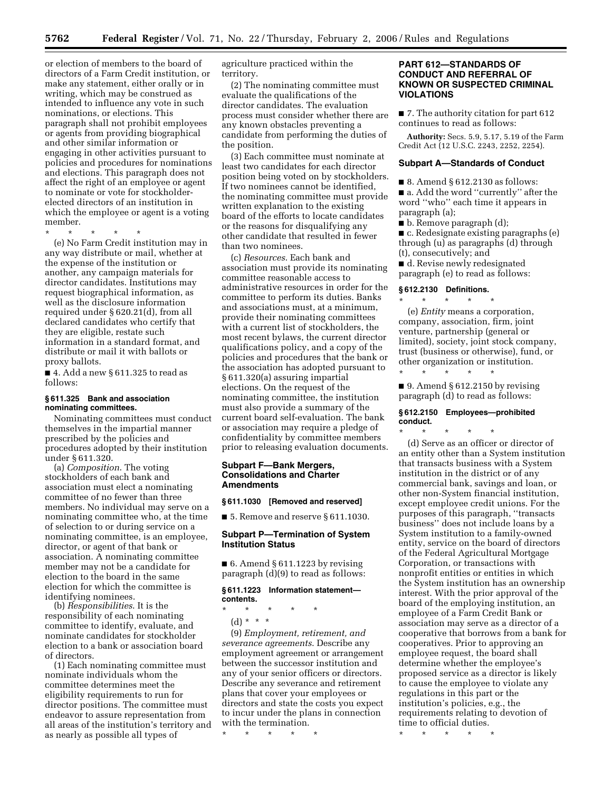or election of members to the board of directors of a Farm Credit institution, or make any statement, either orally or in writing, which may be construed as intended to influence any vote in such nominations, or elections. This paragraph shall not prohibit employees or agents from providing biographical and other similar information or engaging in other activities pursuant to policies and procedures for nominations and elections. This paragraph does not affect the right of an employee or agent to nominate or vote for stockholderelected directors of an institution in which the employee or agent is a voting member.

\* \* \* \* \*

(e) No Farm Credit institution may in any way distribute or mail, whether at the expense of the institution or another, any campaign materials for director candidates. Institutions may request biographical information, as well as the disclosure information required under § 620.21(d), from all declared candidates who certify that they are eligible, restate such information in a standard format, and distribute or mail it with ballots or proxy ballots.

■ 4. Add a new § 611.325 to read as follows:

#### **§ 611.325 Bank and association nominating committees.**

Nominating committees must conduct themselves in the impartial manner prescribed by the policies and procedures adopted by their institution under § 611.320.

(a) *Composition*. The voting stockholders of each bank and association must elect a nominating committee of no fewer than three members. No individual may serve on a nominating committee who, at the time of selection to or during service on a nominating committee, is an employee, director, or agent of that bank or association. A nominating committee member may not be a candidate for election to the board in the same election for which the committee is identifying nominees.

(b) *Responsibilities*. It is the responsibility of each nominating committee to identify, evaluate, and nominate candidates for stockholder election to a bank or association board of directors.

(1) Each nominating committee must nominate individuals whom the committee determines meet the eligibility requirements to run for director positions. The committee must endeavor to assure representation from all areas of the institution's territory and as nearly as possible all types of

agriculture practiced within the territory.

(2) The nominating committee must evaluate the qualifications of the director candidates. The evaluation process must consider whether there are any known obstacles preventing a candidate from performing the duties of the position.

(3) Each committee must nominate at least two candidates for each director position being voted on by stockholders. If two nominees cannot be identified, the nominating committee must provide written explanation to the existing board of the efforts to locate candidates or the reasons for disqualifying any other candidate that resulted in fewer than two nominees.

(c) *Resources*. Each bank and association must provide its nominating committee reasonable access to administrative resources in order for the committee to perform its duties. Banks and associations must, at a minimum, provide their nominating committees with a current list of stockholders, the most recent bylaws, the current director qualifications policy, and a copy of the policies and procedures that the bank or the association has adopted pursuant to § 611.320(a) assuring impartial elections. On the request of the nominating committee, the institution must also provide a summary of the current board self-evaluation. The bank or association may require a pledge of confidentiality by committee members prior to releasing evaluation documents.

## **Subpart F—Bank Mergers, Consolidations and Charter Amendments**

#### **§ 611.1030 [Removed and reserved]**

■ 5. Remove and reserve § 611.1030.

## **Subpart P—Termination of System Institution Status**

 $\blacksquare$  6. Amend § 611.1223 by revising paragraph (d)(9) to read as follows:

#### **§ 611.1223 Information statement contents.**

- \* \* \* \* \*
	- (d) \* \* \*

(9) *Employment, retirement, and severance agreements*. Describe any employment agreement or arrangement between the successor institution and any of your senior officers or directors. Describe any severance and retirement plans that cover your employees or directors and state the costs you expect to incur under the plans in connection with the termination.

\* \* \* \* \*

## **PART 612—STANDARDS OF CONDUCT AND REFERRAL OF KNOWN OR SUSPECTED CRIMINAL VIOLATIONS**

■ 7. The authority citation for part 612 continues to read as follows:

**Authority:** Secs. 5.9, 5.17, 5.19 of the Farm Credit Act (12 U.S.C. 2243, 2252, 2254).

## **Subpart A—Standards of Conduct**

■ 8. Amend § 612.2130 as follows:

■ a. Add the word "currently" after the word ''who'' each time it appears in paragraph (a);

■ b. Remove paragraph (d);

■ c. Redesignate existing paragraphs (e) through (u) as paragraphs (d) through (t), consecutively; and

■ d. Revise newly redesignated paragraph (e) to read as follows:

#### **§ 612.2130 Definitions.**  \* \* \* \* \*

(e) *Entity* means a corporation, company, association, firm, joint venture, partnership (general or limited), society, joint stock company, trust (business or otherwise), fund, or other organization or institution. \* \* \* \* \*

 $\Box$  9. Amend § 612.2150 by revising paragraph (d) to read as follows:

## **§ 612.2150 Employees—prohibited conduct.**

\* \* \* \* \* (d) Serve as an officer or director of an entity other than a System institution that transacts business with a System institution in the district or of any commercial bank, savings and loan, or other non-System financial institution, except employee credit unions. For the purposes of this paragraph, ''transacts business'' does not include loans by a System institution to a family-owned entity, service on the board of directors of the Federal Agricultural Mortgage Corporation, or transactions with nonprofit entities or entities in which the System institution has an ownership interest. With the prior approval of the board of the employing institution, an employee of a Farm Credit Bank or association may serve as a director of a cooperative that borrows from a bank for cooperatives. Prior to approving an employee request, the board shall determine whether the employee's proposed service as a director is likely to cause the employee to violate any regulations in this part or the institution's policies, e.g., the requirements relating to devotion of time to official duties.

\* \* \* \* \*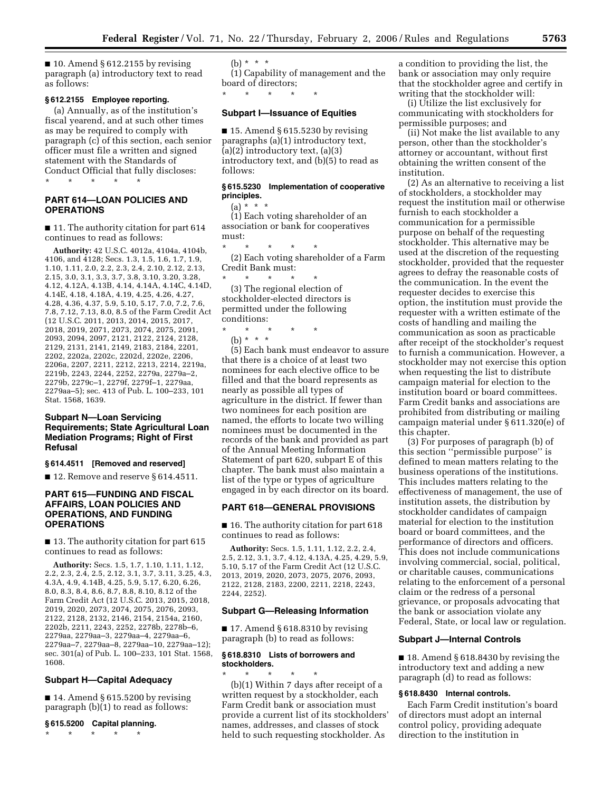$\blacksquare$  10. Amend § 612.2155 by revising paragraph (a) introductory text to read as follows:

## **§ 612.2155 Employee reporting.**

(a) Annually, as of the institution's fiscal yearend, and at such other times as may be required to comply with paragraph (c) of this section, each senior officer must file a written and signed statement with the Standards of Conduct Official that fully discloses: \* \* \* \* \*

**PART 614—LOAN POLICIES AND** 

**OPERATIONS** 

■ 11. The authority citation for part 614 continues to read as follows:

**Authority:** 42 U.S.C. 4012a, 4104a, 4104b, 4106, and 4128; Secs. 1.3, 1.5, 1.6, 1.7, 1.9, 1.10, 1.11, 2.0, 2.2, 2.3, 2.4, 2.10, 2.12, 2.13, 2.15, 3.0, 3.1, 3.3, 3.7, 3.8, 3.10, 3.20, 3.28, 4.12, 4.12A, 4.13B, 4.14, 4.14A, 4.14C, 4.14D, 4.14E, 4.18, 4.18A, 4.19, 4.25, 4.26, 4.27, 4.28, 4.36, 4.37, 5.9, 5.10, 5.17, 7.0, 7.2, 7.6, 7.8, 7.12, 7.13, 8.0, 8.5 of the Farm Credit Act (12 U.S.C. 2011, 2013, 2014, 2015, 2017, 2018, 2019, 2071, 2073, 2074, 2075, 2091, 2093, 2094, 2097, 2121, 2122, 2124, 2128, 2129, 2131, 2141, 2149, 2183, 2184, 2201, 2202, 2202a, 2202c, 2202d, 2202e, 2206, 2206a, 2207, 2211, 2212, 2213, 2214, 2219a, 2219b, 2243, 2244, 2252, 2279a, 2279a–2, 2279b, 2279c–1, 2279f, 2279f–1, 2279aa, 2279aa–5); sec. 413 of Pub. L. 100–233, 101 Stat. 1568, 1639.

## **Subpart N—Loan Servicing Requirements; State Agricultural Loan Mediation Programs; Right of First Refusal**

#### **§ 614.4511 [Removed and reserved]**

■ 12. Remove and reserve § 614.4511.

## **PART 615—FUNDING AND FISCAL AFFAIRS, LOAN POLICIES AND OPERATIONS, AND FUNDING OPERATIONS**

■ 13. The authority citation for part 615 continues to read as follows:

**Authority:** Secs. 1.5, 1.7, 1.10, 1.11, 1.12, 2.2, 2.3, 2.4, 2.5, 2.12, 3.1, 3.7, 3.11, 3.25, 4.3, 4.3A, 4.9, 4.14B, 4.25, 5.9, 5.17, 6.20, 6.26, 8.0, 8.3, 8.4, 8.6, 8.7, 8.8, 8.10, 8.12 of the Farm Credit Act (12 U.S.C. 2013, 2015, 2018, 2019, 2020, 2073, 2074, 2075, 2076, 2093, 2122, 2128, 2132, 2146, 2154, 2154a, 2160, 2202b, 2211, 2243, 2252, 2278b, 2278b–6, 2279aa, 2279aa–3, 2279aa–4, 2279aa–6, 2279aa–7, 2279aa–8, 2279aa–10, 2279aa–12); sec. 301(a) of Pub. L. 100–233, 101 Stat. 1568, 1608.

## **Subpart H—Capital Adequacy**

 $\blacksquare$  14. Amend § 615.5200 by revising paragraph (b)(1) to read as follows:

#### **§ 615.5200 Capital planning.**

\* \* \* \* \*

(b) \* \* \*

(1) Capability of management and the board of directors;

#### **Subpart I—Issuance of Equities**

\* \* \* \* \*

 $\blacksquare$  15. Amend § 615.5230 by revising paragraphs (a)(1) introductory text, (a)(2) introductory text, (a)(3) introductory text, and (b)(5) to read as follows:

## **§ 615.5230 Implementation of cooperative principles.**

 $(a) * * * *$ 

(1) Each voting shareholder of an association or bank for cooperatives must:

\* \* \* \* \* (2) Each voting shareholder of a Farm Credit Bank must:

\* \* \* \* \* (3) The regional election of stockholder-elected directors is permitted under the following conditions:

\* \* \* \* \*

(b) \* \* \*

(5) Each bank must endeavor to assure that there is a choice of at least two nominees for each elective office to be filled and that the board represents as nearly as possible all types of agriculture in the district. If fewer than two nominees for each position are named, the efforts to locate two willing nominees must be documented in the records of the bank and provided as part of the Annual Meeting Information Statement of part 620, subpart E of this chapter. The bank must also maintain a list of the type or types of agriculture engaged in by each director on its board.

#### **PART 618—GENERAL PROVISIONS**

■ 16. The authority citation for part 618 continues to read as follows:

**Authority:** Secs. 1.5, 1.11, 1.12, 2.2, 2.4, 2.5, 2.12, 3.1, 3.7, 4.12, 4.13A, 4.25, 4.29, 5.9, 5.10, 5.17 of the Farm Credit Act (12 U.S.C. 2013, 2019, 2020, 2073, 2075, 2076, 2093, 2122, 2128, 2183, 2200, 2211, 2218, 2243, 2244, 2252).

#### **Subpart G—Releasing Information**

■ 17. Amend § 618.8310 by revising paragraph (b) to read as follows:

## **§ 618.8310 Lists of borrowers and stockholders.**

\* \* \* \* \* (b)(1) Within 7 days after receipt of a written request by a stockholder, each Farm Credit bank or association must provide a current list of its stockholders' names, addresses, and classes of stock held to such requesting stockholder. As

a condition to providing the list, the bank or association may only require that the stockholder agree and certify in writing that the stockholder will:

(i) Utilize the list exclusively for communicating with stockholders for permissible purposes; and

(ii) Not make the list available to any person, other than the stockholder's attorney or accountant, without first obtaining the written consent of the institution.

(2) As an alternative to receiving a list of stockholders, a stockholder may request the institution mail or otherwise furnish to each stockholder a communication for a permissible purpose on behalf of the requesting stockholder. This alternative may be used at the discretion of the requesting stockholder, provided that the requester agrees to defray the reasonable costs of the communication. In the event the requester decides to exercise this option, the institution must provide the requester with a written estimate of the costs of handling and mailing the communication as soon as practicable after receipt of the stockholder's request to furnish a communication. However, a stockholder may not exercise this option when requesting the list to distribute campaign material for election to the institution board or board committees. Farm Credit banks and associations are prohibited from distributing or mailing campaign material under § 611.320(e) of this chapter.

(3) For purposes of paragraph (b) of this section ''permissible purpose'' is defined to mean matters relating to the business operations of the institutions. This includes matters relating to the effectiveness of management, the use of institution assets, the distribution by stockholder candidates of campaign material for election to the institution board or board committees, and the performance of directors and officers. This does not include communications involving commercial, social, political, or charitable causes, communications relating to the enforcement of a personal claim or the redress of a personal grievance, or proposals advocating that the bank or association violate any Federal, State, or local law or regulation.

#### **Subpart J—Internal Controls**

■ 18. Amend § 618.8430 by revising the introductory text and adding a new paragraph (d) to read as follows:

#### **§ 618.8430 Internal controls.**

Each Farm Credit institution's board of directors must adopt an internal control policy, providing adequate direction to the institution in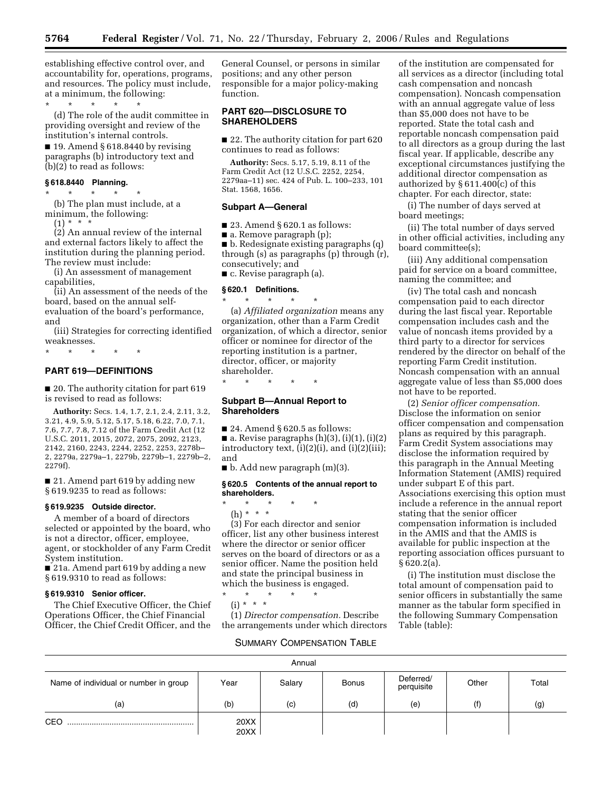establishing effective control over, and accountability for, operations, programs, and resources. The policy must include, at a minimum, the following:

\* \* \* \* \*

(d) The role of the audit committee in providing oversight and review of the institution's internal controls.

■ 19. Amend § 618.8440 by revising paragraphs (b) introductory text and (b)(2) to read as follows:

## **§ 618.8440 Planning.**

\* \* \* \* \* (b) The plan must include, at a minimum, the following:

 $(1) * * * *$ 

(2) An annual review of the internal and external factors likely to affect the institution during the planning period. The review must include:

(i) An assessment of management capabilities,

(ii) An assessment of the needs of the board, based on the annual selfevaluation of the board's performance, and

(iii) Strategies for correcting identified weaknesses.

\* \* \* \* \*

## **PART 619—DEFINITIONS**

■ 20. The authority citation for part 619 is revised to read as follows:

**Authority:** Secs. 1.4, 1.7, 2.1, 2.4, 2.11, 3.2, 3.21, 4.9, 5.9, 5.12, 5.17, 5.18, 6.22, 7.0, 7.1, 7.6, 7.7, 7.8, 7.12 of the Farm Credit Act (12 U.S.C. 2011, 2015, 2072, 2075, 2092, 2123, 2142, 2160, 2243, 2244, 2252, 2253, 2278b– 2, 2279a, 2279a–1, 2279b, 2279b–1, 2279b–2, 2279f).

■ 21. Amend part 619 by adding new § 619.9235 to read as follows:

#### **§ 619.9235 Outside director.**

A member of a board of directors selected or appointed by the board, who is not a director, officer, employee, agent, or stockholder of any Farm Credit System institution.

■ 21a. Amend part 619 by adding a new § 619.9310 to read as follows:

## **§ 619.9310 Senior officer.**

The Chief Executive Officer, the Chief Operations Officer, the Chief Financial Officer, the Chief Credit Officer, and the General Counsel, or persons in similar positions; and any other person responsible for a major policy-making function.

## **PART 620—DISCLOSURE TO SHAREHOLDERS**

■ 22. The authority citation for part 620 continues to read as follows:

**Authority:** Secs. 5.17, 5.19, 8.11 of the Farm Credit Act (12 U.S.C. 2252, 2254, 2279aa–11) sec. 424 of Pub. L. 100–233, 101 Stat. 1568, 1656.

#### **Subpart A—General**

 $\blacksquare$  23. Amend § 620.1 as follows:

■ a. Remove paragraph (p);

■ b. Redesignate existing paragraphs (q) through (s) as paragraphs (p) through (r), consecutively; and

■ c. Revise paragraph (a).

#### **§ 620.1 Definitions.**

\* \* \* \* \* (a) *Affiliated organization* means any organization, other than a Farm Credit organization, of which a director, senior officer or nominee for director of the reporting institution is a partner, director, officer, or majority shareholder.

\* \* \* \* \*

## **Subpart B—Annual Report to Shareholders**

 $\blacksquare$  24. Amend § 620.5 as follows:

 $\blacksquare$  a. Revise paragraphs (h)(3), (i)(1), (i)(2) introductory text,  $(i)(2)(i)$ , and  $(i)(2)(iii)$ ; and

■ b. Add new paragraph (m)(3).

#### **§ 620.5 Contents of the annual report to shareholders.**

\* \* \* \* \* (h) \* \* \* (3) For each director and senior officer, list any other business interest

where the director or senior officer serves on the board of directors or as a senior officer. Name the position held and state the principal business in which the business is engaged.  $\star$   $\star$   $\star$ 

(i) \* \* \*

(1) *Director compensation.* Describe the arrangements under which directors

of the institution are compensated for all services as a director (including total cash compensation and noncash compensation). Noncash compensation with an annual aggregate value of less than \$5,000 does not have to be reported. State the total cash and reportable noncash compensation paid to all directors as a group during the last fiscal year. If applicable, describe any exceptional circumstances justifying the additional director compensation as authorized by § 611.400(c) of this chapter. For each director, state:

(i) The number of days served at board meetings;

(ii) The total number of days served in other official activities, including any board committee(s);

(iii) Any additional compensation paid for service on a board committee, naming the committee; and

(iv) The total cash and noncash compensation paid to each director during the last fiscal year. Reportable compensation includes cash and the value of noncash items provided by a third party to a director for services rendered by the director on behalf of the reporting Farm Credit institution. Noncash compensation with an annual aggregate value of less than \$5,000 does not have to be reported.

(2) *Senior officer compensation.*  Disclose the information on senior officer compensation and compensation plans as required by this paragraph. Farm Credit System associations may disclose the information required by this paragraph in the Annual Meeting Information Statement (AMIS) required under subpart E of this part. Associations exercising this option must include a reference in the annual report stating that the senior officer compensation information is included in the AMIS and that the AMIS is available for public inspection at the reporting association offices pursuant to § 620.2(a).

(i) The institution must disclose the total amount of compensation paid to senior officers in substantially the same manner as the tabular form specified in the following Summary Compensation Table (table):

## SUMMARY COMPENSATION TABLE

| Annual                                |              |        |              |                         |       |       |  |  |  |
|---------------------------------------|--------------|--------|--------------|-------------------------|-------|-------|--|--|--|
| Name of individual or number in group | Year         | Salary | <b>Bonus</b> | Deferred/<br>perquisite | Other | Total |  |  |  |
| (a)                                   | (b)          | (c)    | (d)          | (e)                     | (f)   | (g)   |  |  |  |
| CEO                                   | 20XX<br>20XX |        |              |                         |       |       |  |  |  |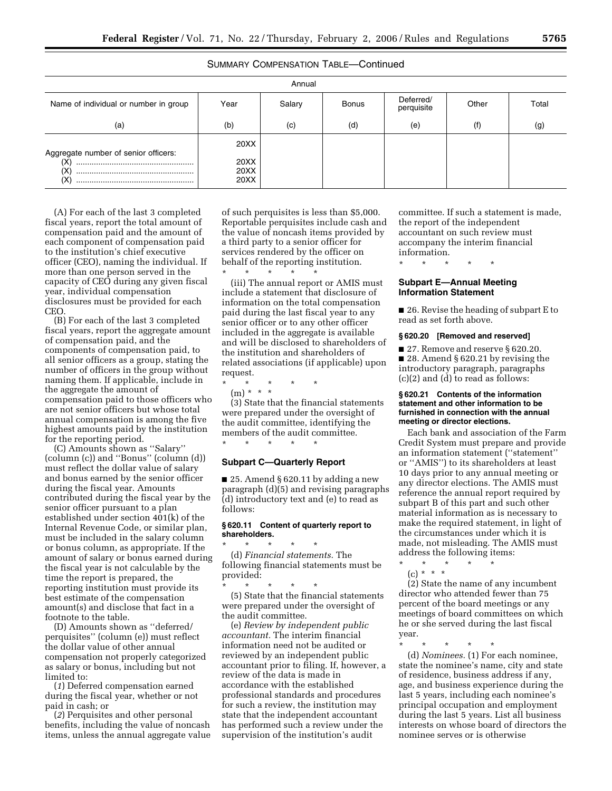## SUMMARY COMPENSATION TABLE—Continued

| Annual                                                   |                              |        |              |                         |       |       |  |  |  |
|----------------------------------------------------------|------------------------------|--------|--------------|-------------------------|-------|-------|--|--|--|
| Name of individual or number in group                    | Year                         | Salary | <b>Bonus</b> | Deferred/<br>perquisite | Other | Total |  |  |  |
| (a)                                                      | (b)                          | (c)    | (d)          | (e)                     | (f)   | (g)   |  |  |  |
| Aggregate number of senior officers:<br>(X)<br>ΙX<br>(X) | 20XX<br>20XX<br>20XX<br>20XX |        |              |                         |       |       |  |  |  |

(A) For each of the last 3 completed fiscal years, report the total amount of compensation paid and the amount of each component of compensation paid to the institution's chief executive officer (CEO), naming the individual. If more than one person served in the capacity of CEO during any given fiscal year, individual compensation disclosures must be provided for each CEO.

(B) For each of the last 3 completed fiscal years, report the aggregate amount of compensation paid, and the components of compensation paid, to all senior officers as a group, stating the number of officers in the group without naming them. If applicable, include in the aggregate the amount of compensation paid to those officers who are not senior officers but whose total annual compensation is among the five highest amounts paid by the institution for the reporting period.

(C) Amounts shown as ''Salary'' (column (c)) and ''Bonus'' (column (d)) must reflect the dollar value of salary and bonus earned by the senior officer during the fiscal year. Amounts contributed during the fiscal year by the senior officer pursuant to a plan established under section 401(k) of the Internal Revenue Code, or similar plan, must be included in the salary column or bonus column, as appropriate. If the amount of salary or bonus earned during the fiscal year is not calculable by the time the report is prepared, the reporting institution must provide its best estimate of the compensation amount(s) and disclose that fact in a footnote to the table.

(D) Amounts shown as ''deferred/ perquisites'' (column (e)) must reflect the dollar value of other annual compensation not properly categorized as salary or bonus, including but not limited to:

(*1*) Deferred compensation earned during the fiscal year, whether or not paid in cash; or

(*2*) Perquisites and other personal benefits, including the value of noncash items, unless the annual aggregate value

of such perquisites is less than \$5,000. Reportable perquisites include cash and the value of noncash items provided by a third party to a senior officer for services rendered by the officer on behalf of the reporting institution. \* \* \* \* \*

(iii) The annual report or AMIS must include a statement that disclosure of information on the total compensation paid during the last fiscal year to any senior officer or to any other officer included in the aggregate is available and will be disclosed to shareholders of the institution and shareholders of related associations (if applicable) upon request.

\* \* \* \* \*

(m) \* \* \*

(3) State that the financial statements were prepared under the oversight of the audit committee, identifying the members of the audit committee. \* \* \* \* \*

## **Subpart C—Quarterly Report**

 $\blacksquare$  25. Amend § 620.11 by adding a new paragraph (d)(5) and revising paragraphs (d) introductory text and (e) to read as follows:

## **§ 620.11 Content of quarterly report to shareholders.**

\* \* \* \* \* (d) *Financial statements.* The following financial statements must be provided:

\* \* \* \* \*

(5) State that the financial statements were prepared under the oversight of the audit committee.

(e) *Review by independent public accountant.* The interim financial information need not be audited or reviewed by an independent public accountant prior to filing. If, however, a review of the data is made in accordance with the established professional standards and procedures for such a review, the institution may state that the independent accountant has performed such a review under the supervision of the institution's audit

committee. If such a statement is made, the report of the independent accountant on such review must accompany the interim financial information.

\* \* \* \* \*

## **Subpart E—Annual Meeting Information Statement**

■ 26. Revise the heading of subpart E to read as set forth above.

#### **§ 620.20 [Removed and reserved]**

■ 27. Remove and reserve § 620.20. ■ 28. Amend § 620.21 by revising the introductory paragraph, paragraphs (c)(2) and (d) to read as follows:

#### **§ 620.21 Contents of the information statement and other information to be furnished in connection with the annual meeting or director elections.**

Each bank and association of the Farm Credit System must prepare and provide an information statement (''statement'' or ''AMIS'') to its shareholders at least 10 days prior to any annual meeting or any director elections. The AMIS must reference the annual report required by subpart B of this part and such other material information as is necessary to make the required statement, in light of the circumstances under which it is made, not misleading. The AMIS must address the following items: \* \* \* \* \*

 $(c) * * * *$ 

(2) State the name of any incumbent director who attended fewer than 75 percent of the board meetings or any meetings of board committees on which he or she served during the last fiscal year.

\* \* \* \* \*

(d) *Nominees.* (1) For each nominee, state the nominee's name, city and state of residence, business address if any, age, and business experience during the last 5 years, including each nominee's principal occupation and employment during the last 5 years. List all business interests on whose board of directors the nominee serves or is otherwise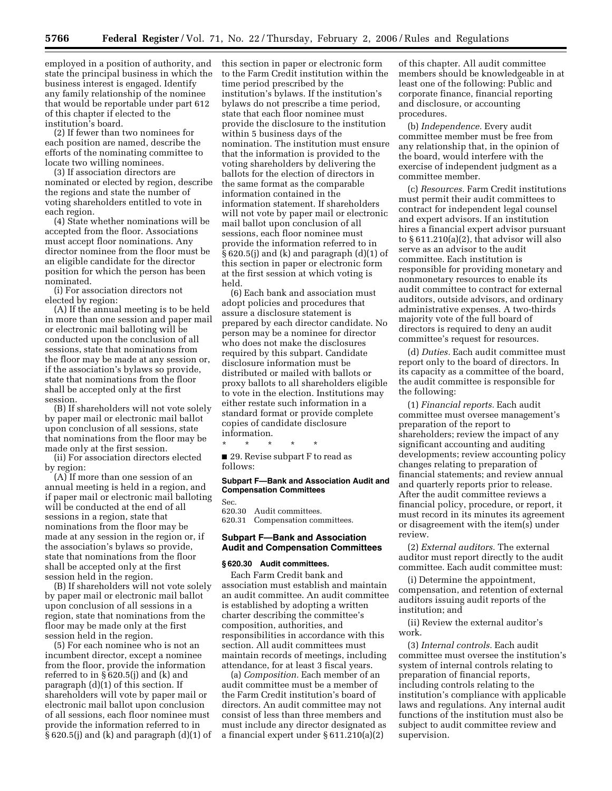employed in a position of authority, and state the principal business in which the business interest is engaged. Identify any family relationship of the nominee that would be reportable under part 612 of this chapter if elected to the institution's board.

(2) If fewer than two nominees for each position are named, describe the efforts of the nominating committee to locate two willing nominees.

(3) If association directors are nominated or elected by region, describe the regions and state the number of voting shareholders entitled to vote in each region.

(4) State whether nominations will be accepted from the floor. Associations must accept floor nominations. Any director nominee from the floor must be an eligible candidate for the director position for which the person has been nominated.

(i) For association directors not elected by region:

(A) If the annual meeting is to be held in more than one session and paper mail or electronic mail balloting will be conducted upon the conclusion of all sessions, state that nominations from the floor may be made at any session or, if the association's bylaws so provide, state that nominations from the floor shall be accepted only at the first session.

(B) If shareholders will not vote solely by paper mail or electronic mail ballot upon conclusion of all sessions, state that nominations from the floor may be made only at the first session.

(ii) For association directors elected by region:

(A) If more than one session of an annual meeting is held in a region, and if paper mail or electronic mail balloting will be conducted at the end of all sessions in a region, state that nominations from the floor may be made at any session in the region or, if the association's bylaws so provide, state that nominations from the floor shall be accepted only at the first session held in the region.

(B) If shareholders will not vote solely by paper mail or electronic mail ballot upon conclusion of all sessions in a region, state that nominations from the floor may be made only at the first session held in the region.

(5) For each nominee who is not an incumbent director, except a nominee from the floor, provide the information referred to in § 620.5(j) and (k) and paragraph (d)(1) of this section. If shareholders will vote by paper mail or electronic mail ballot upon conclusion of all sessions, each floor nominee must provide the information referred to in  $§ 620.5(j)$  and (k) and paragraph (d)(1) of this section in paper or electronic form to the Farm Credit institution within the time period prescribed by the institution's bylaws. If the institution's bylaws do not prescribe a time period, state that each floor nominee must provide the disclosure to the institution within 5 business days of the nomination. The institution must ensure that the information is provided to the voting shareholders by delivering the ballots for the election of directors in the same format as the comparable information contained in the information statement. If shareholders will not vote by paper mail or electronic mail ballot upon conclusion of all sessions, each floor nominee must provide the information referred to in  $\S 620.5$ (j) and (k) and paragraph (d)(1) of this section in paper or electronic form at the first session at which voting is held.

(6) Each bank and association must adopt policies and procedures that assure a disclosure statement is prepared by each director candidate. No person may be a nominee for director who does not make the disclosures required by this subpart. Candidate disclosure information must be distributed or mailed with ballots or proxy ballots to all shareholders eligible to vote in the election. Institutions may either restate such information in a standard format or provide complete copies of candidate disclosure information.

\* \* \* \* \*

■ 29. Revise subpart F to read as follows:

## **Subpart F—Bank and Association Audit and Compensation Committees**

Sec.

620.30 Audit committees. 620.31 Compensation committees.

#### **Subpart F—Bank and Association Audit and Compensation Committees**

## **§ 620.30 Audit committees.**

Each Farm Credit bank and association must establish and maintain an audit committee. An audit committee is established by adopting a written charter describing the committee's composition, authorities, and responsibilities in accordance with this section. All audit committees must maintain records of meetings, including attendance, for at least 3 fiscal years.

(a) *Composition.* Each member of an audit committee must be a member of the Farm Credit institution's board of directors. An audit committee may not consist of less than three members and must include any director designated as a financial expert under § 611.210(a)(2)

of this chapter. All audit committee members should be knowledgeable in at least one of the following: Public and corporate finance, financial reporting and disclosure, or accounting procedures.

(b) *Independence.* Every audit committee member must be free from any relationship that, in the opinion of the board, would interfere with the exercise of independent judgment as a committee member.

(c) *Resources.* Farm Credit institutions must permit their audit committees to contract for independent legal counsel and expert advisors. If an institution hires a financial expert advisor pursuant to § 611.210(a)(2), that advisor will also serve as an advisor to the audit committee. Each institution is responsible for providing monetary and nonmonetary resources to enable its audit committee to contract for external auditors, outside advisors, and ordinary administrative expenses. A two-thirds majority vote of the full board of directors is required to deny an audit committee's request for resources.

(d) *Duties.* Each audit committee must report only to the board of directors. In its capacity as a committee of the board, the audit committee is responsible for the following:

(1) *Financial reports.* Each audit committee must oversee management's preparation of the report to shareholders; review the impact of any significant accounting and auditing developments; review accounting policy changes relating to preparation of financial statements; and review annual and quarterly reports prior to release. After the audit committee reviews a financial policy, procedure, or report, it must record in its minutes its agreement or disagreement with the item(s) under review.

(2) *External auditors.* The external auditor must report directly to the audit committee. Each audit committee must:

(i) Determine the appointment, compensation, and retention of external auditors issuing audit reports of the institution; and

(ii) Review the external auditor's work.

(3) *Internal controls.* Each audit committee must oversee the institution's system of internal controls relating to preparation of financial reports, including controls relating to the institution's compliance with applicable laws and regulations. Any internal audit functions of the institution must also be subject to audit committee review and supervision.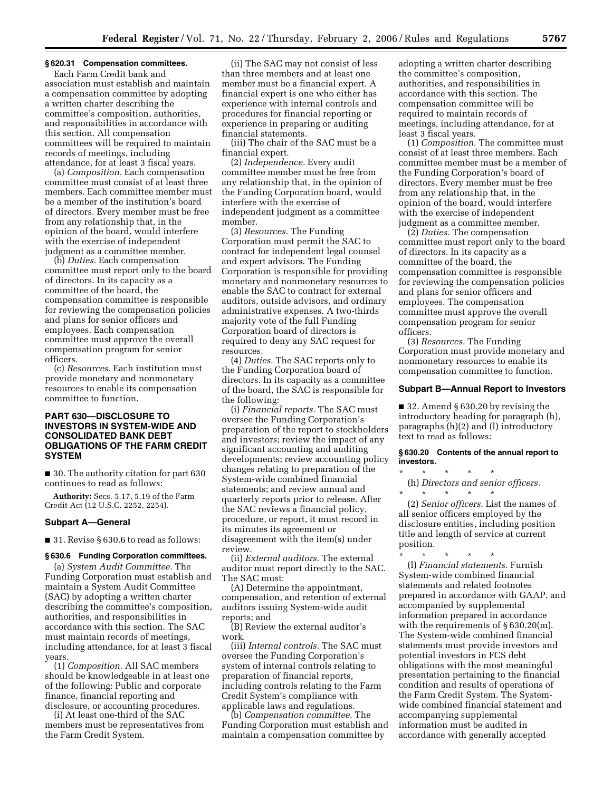## **§ 620.31 Compensation committees.**

Each Farm Credit bank and association must establish and maintain a compensation committee by adopting a written charter describing the committee's composition, authorities, and responsibilities in accordance with this section. All compensation committees will be required to maintain records of meetings, including attendance, for at least 3 fiscal years.

(a) *Composition.* Each compensation committee must consist of at least three members. Each committee member must be a member of the institution's board of directors. Every member must be free from any relationship that, in the opinion of the board, would interfere with the exercise of independent judgment as a committee member.

(b) *Duties.* Each compensation committee must report only to the board of directors. In its capacity as a committee of the board, the compensation committee is responsible for reviewing the compensation policies and plans for senior officers and employees. Each compensation committee must approve the overall compensation program for senior officers.

(c) *Resources.* Each institution must provide monetary and nonmonetary resources to enable its compensation committee to function.

## **PART 630—DISCLOSURE TO INVESTORS IN SYSTEM-WIDE AND CONSOLIDATED BANK DEBT OBLIGATIONS OF THE FARM CREDIT SYSTEM**

■ 30. The authority citation for part 630 continues to read as follows:

**Authority:** Secs. 5.17, 5.19 of the Farm Credit Act (12 U.S.C. 2252, 2254).

#### **Subpart A—General**

■ 31. Revise § 630.6 to read as follows:

## **§ 630.6 Funding Corporation committees.**

(a) *System Audit Committee.* The Funding Corporation must establish and maintain a System Audit Committee (SAC) by adopting a written charter describing the committee's composition, authorities, and responsibilities in accordance with this section. The SAC must maintain records of meetings, including attendance, for at least 3 fiscal years.

(1) *Composition.* All SAC members should be knowledgeable in at least one of the following: Public and corporate finance, financial reporting and disclosure, or accounting procedures.

(i) At least one-third of the SAC members must be representatives from the Farm Credit System.

(ii) The SAC may not consist of less than three members and at least one member must be a financial expert. A financial expert is one who either has experience with internal controls and procedures for financial reporting or experience in preparing or auditing financial statements.

(iii) The chair of the SAC must be a financial expert.

(2) *Independence.* Every audit committee member must be free from any relationship that, in the opinion of the Funding Corporation board, would interfere with the exercise of independent judgment as a committee member.

(3) *Resources.* The Funding Corporation must permit the SAC to contract for independent legal counsel and expert advisors. The Funding Corporation is responsible for providing monetary and nonmonetary resources to enable the SAC to contract for external auditors, outside advisors, and ordinary administrative expenses. A two-thirds majority vote of the full Funding Corporation board of directors is required to deny any SAC request for resources.

(4) *Duties.* The SAC reports only to the Funding Corporation board of directors. In its capacity as a committee of the board, the SAC is responsible for the following:

(i) *Financial reports.* The SAC must oversee the Funding Corporation's preparation of the report to stockholders and investors; review the impact of any significant accounting and auditing developments; review accounting policy changes relating to preparation of the System-wide combined financial statements; and review annual and quarterly reports prior to release. After the SAC reviews a financial policy, procedure, or report, it must record in its minutes its agreement or disagreement with the item(s) under review.

(ii) *External auditors.* The external auditor must report directly to the SAC. The SAC must:

(A) Determine the appointment, compensation, and retention of external auditors issuing System-wide audit reports; and

(B) Review the external auditor's work.

(iii) *Internal controls.* The SAC must oversee the Funding Corporation's system of internal controls relating to preparation of financial reports, including controls relating to the Farm Credit System's compliance with applicable laws and regulations.

(b) *Compensation committee.* The Funding Corporation must establish and maintain a compensation committee by

adopting a written charter describing the committee's composition, authorities, and responsibilities in accordance with this section. The compensation committee will be required to maintain records of meetings, including attendance, for at least 3 fiscal years.

(1) *Composition.* The committee must consist of at least three members. Each committee member must be a member of the Funding Corporation's board of directors. Every member must be free from any relationship that, in the opinion of the board, would interfere with the exercise of independent judgment as a committee member.

(2) *Duties.* The compensation committee must report only to the board of directors. In its capacity as a committee of the board, the compensation committee is responsible for reviewing the compensation policies and plans for senior officers and employees. The compensation committee must approve the overall compensation program for senior officers.

(3) *Resources.* The Funding Corporation must provide monetary and nonmonetary resources to enable its compensation committee to function.

#### **Subpart B—Annual Report to Investors**

■ 32. Amend § 630.20 by revising the introductory heading for paragraph (h), paragraphs (h)(2) and (l) introductory text to read as follows:

#### **§ 630.20 Contents of the annual report to investors.**

\* \* \* \* \*

(h) *Directors and senior officers.*  \* \* \* \* \*

(2) *Senior officers.* List the names of all senior officers employed by the disclosure entities, including position title and length of service at current position.

\* \* \* \* \* (l) *Financial statements.* Furnish System-wide combined financial statements and related footnotes prepared in accordance with GAAP, and accompanied by supplemental information prepared in accordance with the requirements of §630.20(m). The System-wide combined financial statements must provide investors and potential investors in FCS debt obligations with the most meaningful presentation pertaining to the financial condition and results of operations of the Farm Credit System. The Systemwide combined financial statement and accompanying supplemental information must be audited in accordance with generally accepted